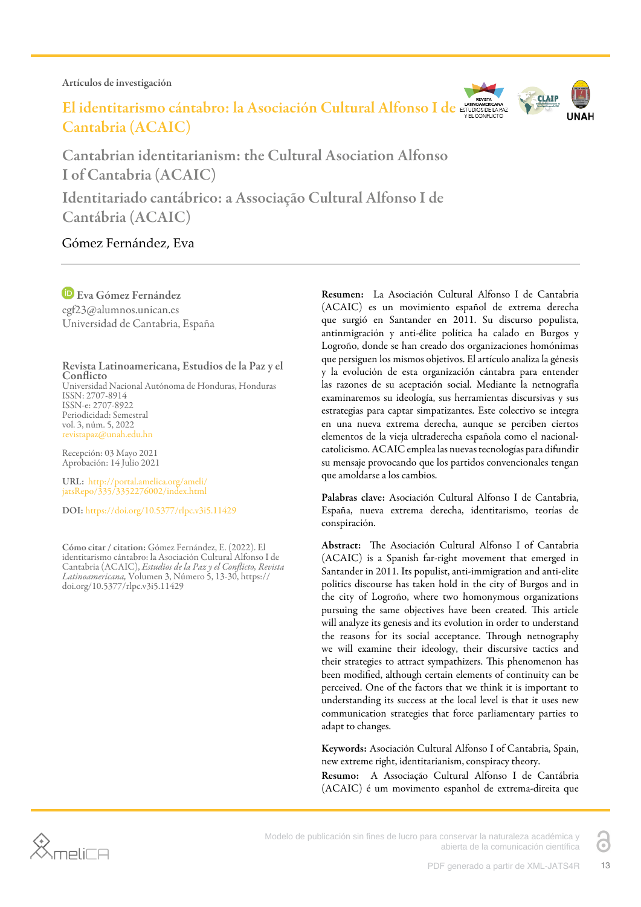Artículos de investigación

Cantabria (ACAIC)

El identitarismo cántabro: la Asociación Cultural Alfonso I de ETUDIOSCE



Cantabrian identitarianism: the Cultural Asociation Alfonso I of Cantabria (ACAIC) Identitariado cantábrico: a Associação Cultural Alfonso I de Cantábria (ACAIC)

# Gómez Fernández, Eva

Eva Gómez Fernández egf23@alumnos.unican.es Universidad de Cantabria, España

Revista Latinoamericana, Estudios de la Paz y el **Conflicto** Universidad Nacional Autónoma de Honduras, Honduras ISSN: 2707-8914 ISSN-e: 2707-8922 Periodicidad: Semestral

vol. 3, núm. 5, 2022 revistapaz@unah.edu.hn

Recepción: 03 Mayo 2021 Aprobación: 14 Julio 2021

URL: [http://portal.amelica.org/ameli/](http://portal.amelica.org/ameli/jatsRepo/335/3352276002/index.html) [jatsRepo/335/3352276002/index.html](http://portal.amelica.org/ameli/jatsRepo/335/3352276002/index.html)

DOI: <https://doi.org/10.5377/rlpc.v3i5.11429>

Cómo citar / citation: Gómez Fernández, E. (2022). El identitarismo cántabro: la Asociación Cultural Alfonso I de Cantabria (ACAIC), *Estudios de la Paz y el Conflicto, Revista Latinoamericana,* Volumen 3, Número 5, 13-30, https:// doi.org/10.5377/rlpc.v3i5.11429

Resumen: La Asociación Cultural Alfonso I de Cantabria (ACAIC) es un movimiento español de extrema derecha que surgió en Santander en 2011. Su discurso populista, antinmigración y anti-élite política ha calado en Burgos y Logroño, donde se han creado dos organizaciones homónimas que persiguen los mismos objetivos. El artículo analiza la génesis y la evolución de esta organización cántabra para entender las razones de su aceptación social. Mediante la netnografía examinaremos su ideología, sus herramientas discursivas y sus estrategias para captar simpatizantes. Este colectivo se integra en una nueva extrema derecha, aunque se perciben ciertos elementos de la vieja ultraderecha española como el nacionalcatolicismo. ACAIC emplea las nuevas tecnologías para difundir su mensaje provocando que los partidos convencionales tengan que amoldarse a los cambios.

Palabras clave: Asociación Cultural Alfonso I de Cantabria, España, nueva extrema derecha, identitarismo, teorías de conspiración.

Abstract: The Asociación Cultural Alfonso I of Cantabria (ACAIC) is a Spanish far-right movement that emerged in Santander in 2011. Its populist, anti-immigration and anti-elite politics discourse has taken hold in the city of Burgos and in the city of Logroño, where two homonymous organizations pursuing the same objectives have been created. This article will analyze its genesis and its evolution in order to understand the reasons for its social acceptance. Through netnography we will examine their ideology, their discursive tactics and their strategies to attract sympathizers. This phenomenon has been modified, although certain elements of continuity can be perceived. One of the factors that we think it is important to understanding its success at the local level is that it uses new communication strategies that force parliamentary parties to adapt to changes.

Keywords: Asociación Cultural Alfonso I of Cantabria, Spain, new extreme right, identitarianism, conspiracy theory.

Resumo: A Associação Cultural Alfonso I de Cantábria (ACAIC) é um movimento espanhol de extrema-direita que



Modelo de publicación sin fines de lucro para conservar la naturaleza académica y abierta de la comunicación científica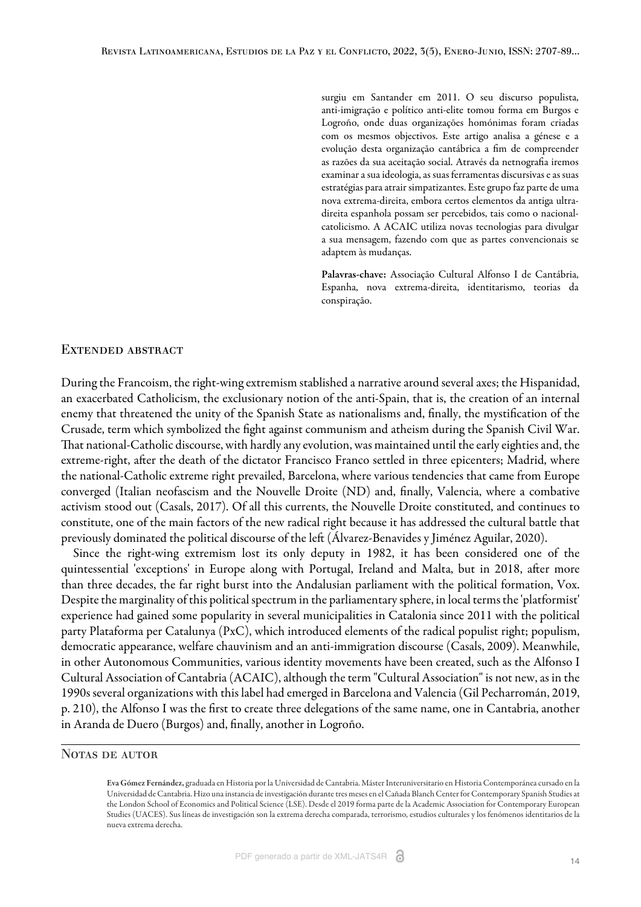surgiu em Santander em 2011. O seu discurso populista, anti-imigração e político anti-elite tomou forma em Burgos e Logroño, onde duas organizações homónimas foram criadas com os mesmos objectivos. Este artigo analisa a génese e a evolução desta organização cantábrica a fim de compreender as razões da sua aceitação social. Através da netnografia iremos examinar a sua ideologia, as suas ferramentas discursivas e as suas estratégias para atrair simpatizantes. Este grupo faz parte de uma nova extrema-direita, embora certos elementos da antiga ultradireita espanhola possam ser percebidos, tais como o nacionalcatolicismo. A ACAIC utiliza novas tecnologias para divulgar a sua mensagem, fazendo com que as partes convencionais se adaptem às mudanças.

Palavras-chave: Associação Cultural Alfonso I de Cantábria, Espanha, nova extrema-direita, identitarismo, teorias da conspiração.

#### Extended abstract

During the Francoism, the right-wing extremism stablished a narrative around several axes; the Hispanidad, an exacerbated Catholicism, the exclusionary notion of the anti-Spain, that is, the creation of an internal enemy that threatened the unity of the Spanish State as nationalisms and, finally, the mystification of the Crusade, term which symbolized the fight against communism and atheism during the Spanish Civil War. That national-Catholic discourse, with hardly any evolution, was maintained until the early eighties and, the extreme-right, after the death of the dictator Francisco Franco settled in three epicenters; Madrid, where the national-Catholic extreme right prevailed, Barcelona, where various tendencies that came from Europe converged (Italian neofascism and the Nouvelle Droite (ND) and, finally, Valencia, where a combative activism stood out [\(Casals, 2017\)](#page-13-0). Of all this currents, the Nouvelle Droite constituted, and continues to constitute, one of the main factors of the new radical right because it has addressed the cultural battle that previously dominated the political discourse of the left [\(Álvarez-Benavides y Jiménez Aguilar, 2020](#page-13-1)).

Since the right-wing extremism lost its only deputy in 1982, it has been considered one of the quintessential 'exceptions' in Europe along with Portugal, Ireland and Malta, but in 2018, after more than three decades, the far right burst into the Andalusian parliament with the political formation, Vox. Despite the marginality of this political spectrum in the parliamentary sphere, in local terms the 'platformist' experience had gained some popularity in several municipalities in Catalonia since 2011 with the political party Plataforma per Catalunya (PxC), which introduced elements of the radical populist right; populism, democratic appearance, welfare chauvinism and an anti-immigration discourse ([Casals, 2009\).](#page-13-2) Meanwhile, in other Autonomous Communities, various identity movements have been created, such as the Alfonso I Cultural Association of Cantabria (ACAIC), although the term "Cultural Association" is not new, as in the 1990s several organizations with this label had emerged in Barcelona and Valencia [\(Gil Pecharromán, 2019,](#page-14-0) [p. 210](#page-14-0)), the Alfonso I was the first to create three delegations of the same name, one in Cantabria, another in Aranda de Duero (Burgos) and, finally, another in Logroño.

### NOTAS DE AUTOR

Eva Gómez Fernández, graduada en Historia por la Universidad de Cantabria. Máster Interuniversitario en Historia Contemporánea cursado en la Universidad de Cantabria. Hizo una instancia de investigación durante tres meses en el Cañada Blanch Center for Contemporary Spanish Studies at the London School of Economics and Political Science (LSE). Desde el 2019 forma parte de la Academic Association for Contemporary European Studies (UACES). Sus líneas de investigación son la extrema derecha comparada, terrorismo, estudios culturales y los fenómenos identitarios de la nueva extrema derecha.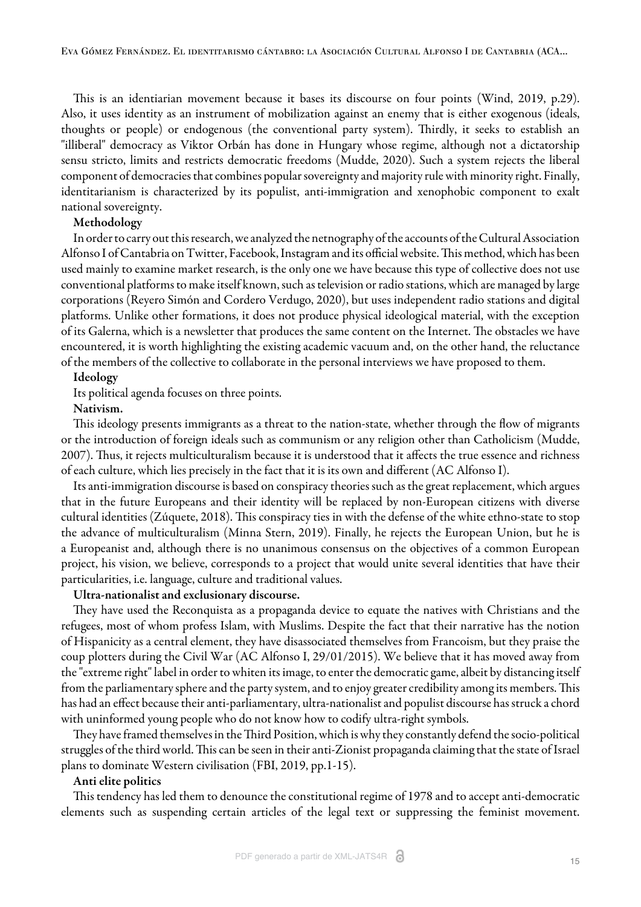This is an identiarian movement because it bases its discourse on four points [\(Wind, 2019, p.29](#page-14-1)). Also, it uses identity as an instrument of mobilization against an enemy that is either exogenous (ideals, thoughts or people) or endogenous (the conventional party system). Thirdly, it seeks to establish an "illiberal" democracy as Viktor Orbán has done in Hungary whose regime, although not a dictatorship sensu stricto, limits and restricts democratic freedoms [\(Mudde, 2020](#page-14-2)). Such a system rejects the liberal component of democracies that combines popular sovereignty and majority rule with minority right. Finally, identitarianism is characterized by its populist, anti-immigration and xenophobic component to exalt national sovereignty.

### Methodology

In order to carry out this research, we analyzed the netnography of the accounts of the Cultural Association Alfonso I of Cantabria on Twitter, Facebook, Instagram and its official website. This method, which has been used mainly to examine market research, is the only one we have because this type of collective does not use conventional platforms to make itself known, such as television or radio stations, which are managed by large corporations [\(Reyero Simón and Cordero Verdugo, 2020](#page-14-3)), but uses independent radio stations and digital platforms. Unlike other formations, it does not produce physical ideological material, with the exception of its Galerna, which is a newsletter that produces the same content on the Internet. The obstacles we have encountered, it is worth highlighting the existing academic vacuum and, on the other hand, the reluctance of the members of the collective to collaborate in the personal interviews we have proposed to them.

#### Ideology

Its political agenda focuses on three points.

### Nativism.

This ideology presents immigrants as a threat to the nation-state, whether through the flow of migrants or the introduction of foreign ideals such as communism or any religion other than Catholicism [\(Mudde,](#page-14-4) [2007\).](#page-14-4) Thus, it rejects multiculturalism because it is understood that it affects the true essence and richness of each culture, which lies precisely in the fact that it is its own and different ([AC Alfonso I\)](#page-14-5).

Its anti-immigration discourse is based on conspiracy theories such as the great replacement, which argues that in the future Europeans and their identity will be replaced by non-European citizens with diverse cultural identities [\(Zúquete, 2018\)](#page-14-6). This conspiracy ties in with the defense of the white ethno-state to stop the advance of multiculturalism [\(Minna Stern, 2019\).](#page-14-7) Finally, he rejects the European Union, but he is a Europeanist and, although there is no unanimous consensus on the objectives of a common European project, his vision, we believe, corresponds to a project that would unite several identities that have their particularities, i.e. language, culture and traditional values.

### Ultra-nationalist and exclusionary discourse.

They have used the Reconquista as a propaganda device to equate the natives with Christians and the refugees, most of whom profess Islam, with Muslims. Despite the fact that their narrative has the notion of Hispanicity as a central element, they have disassociated themselves from Francoism, but they praise the coup plotters during the Civil War ([AC Alfonso I, 29/01/2015\)](#page-15-0). We believe that it has moved away from the "extreme right" label in order to whiten its image, to enter the democratic game, albeit by distancing itself from the parliamentary sphere and the party system, and to enjoy greater credibility among its members. This has had an effect because their anti-parliamentary, ultra-nationalist and populist discourse has struck a chord with uninformed young people who do not know how to codify ultra-right symbols.

They have framed themselves in the Third Position, which is why they constantly defend the socio-political struggles of the third world. This can be seen in their anti-Zionist propaganda claiming that the state of Israel plans to dominate Western civilisation [\(FBI, 2019, pp.1-15](#page-14-8)).

#### Anti elite politics

This tendency has led them to denounce the constitutional regime of 1978 and to accept anti-democratic elements such as suspending certain articles of the legal text or suppressing the feminist movement.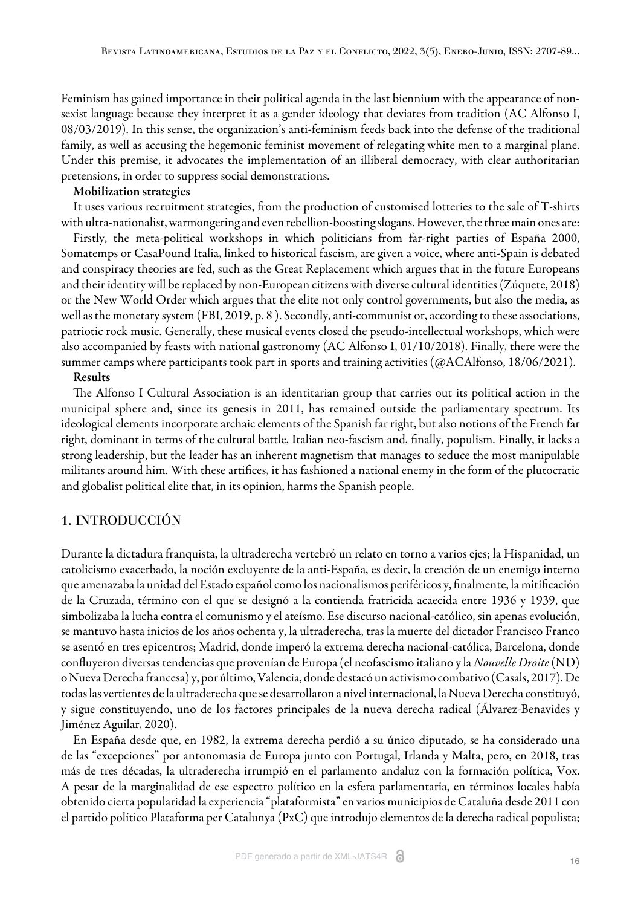Feminism has gained importance in their political agenda in the last biennium with the appearance of nonsexist language because they interpret it as a gender ideology that deviates from tradition ([AC Alfonso I,](#page-16-0) [08/03/2019](#page-16-0)). In this sense, the organization's anti-feminism feeds back into the defense of the traditional family, as well as accusing the hegemonic feminist movement of relegating white men to a marginal plane. Under this premise, it advocates the implementation of an illiberal democracy, with clear authoritarian pretensions, in order to suppress social demonstrations.

#### Mobilization strategies

It uses various recruitment strategies, from the production of customised lotteries to the sale of T-shirts with ultra-nationalist, warmongering and even rebellion-boosting slogans. However, the three main ones are:

Firstly, the meta-political workshops in which politicians from far-right parties of España 2000, Somatemps or CasaPound Italia, linked to historical fascism, are given a voice, where anti-Spain is debated and conspiracy theories are fed, such as the Great Replacement which argues that in the future Europeans and their identity will be replaced by non-European citizens with diverse cultural identities [\(Zúquete, 2018](#page-14-6)) or the New World Order which argues that the elite not only control governments, but also the media, as well as the monetary system ([FBI, 2019, p. 8](#page-14-8)). Secondly, anti-communist or, according to these associations, patriotic rock music. Generally, these musical events closed the pseudo-intellectual workshops, which were also accompanied by feasts with national gastronomy [\(AC Alfonso I, 01/10/2018](#page-16-1)). Finally, there were the summer camps where participants took part in sports and training activities [\(@ACAlfonso, 18/06/2021](#page-16-2)).

### Results

The Alfonso I Cultural Association is an identitarian group that carries out its political action in the municipal sphere and, since its genesis in 2011, has remained outside the parliamentary spectrum. Its ideological elements incorporate archaic elements of the Spanish far right, but also notions of the French far right, dominant in terms of the cultural battle, Italian neo-fascism and, finally, populism. Finally, it lacks a strong leadership, but the leader has an inherent magnetism that manages to seduce the most manipulable militants around him. With these artifices, it has fashioned a national enemy in the form of the plutocratic and globalist political elite that, in its opinion, harms the Spanish people.

## 1. INTRODUCCIÓN

Durante la dictadura franquista, la ultraderecha vertebró un relato en torno a varios ejes; la Hispanidad, un catolicismo exacerbado, la noción excluyente de la anti-España, es decir, la creación de un enemigo interno que amenazaba la unidad del Estado español como los nacionalismos periféricos y, finalmente, la mitificación de la Cruzada, término con el que se designó a la contienda fratricida acaecida entre 1936 y 1939, que simbolizaba la lucha contra el comunismo y el ateísmo. Ese discurso nacional-católico, sin apenas evolución, se mantuvo hasta inicios de los años ochenta y, la ultraderecha, tras la muerte del dictador Francisco Franco se asentó en tres epicentros; Madrid, donde imperó la extrema derecha nacional-católica, Barcelona, donde confluyeron diversas tendencias que provenían de Europa (el neofascismo italiano y la *Nouvelle Droite* (ND) o Nueva Derecha francesa) y, por último, Valencia, donde destacó un activismo combativo [\(Casals, 2017\)](#page-13-0). De todas las vertientes de la ultraderecha que se desarrollaron a nivel internacional, la Nueva Derecha constituyó, y sigue constituyendo, uno de los factores principales de la nueva derecha radical [\(Álvarez-Benavides y](#page-13-1) [Jiménez Aguilar, 2020\)](#page-13-1).

En España desde que, en 1982, la extrema derecha perdió a su único diputado, se ha considerado una de las "excepciones" por antonomasia de Europa junto con Portugal, Irlanda y Malta, pero, en 2018, tras más de tres décadas, la ultraderecha irrumpió en el parlamento andaluz con la formación política, Vox. A pesar de la marginalidad de ese espectro político en la esfera parlamentaria, en términos locales había obtenido cierta popularidad la experiencia "plataformista" en varios municipios de Cataluña desde 2011 con el partido político Plataforma per Catalunya (PxC) que introdujo elementos de la derecha radical populista;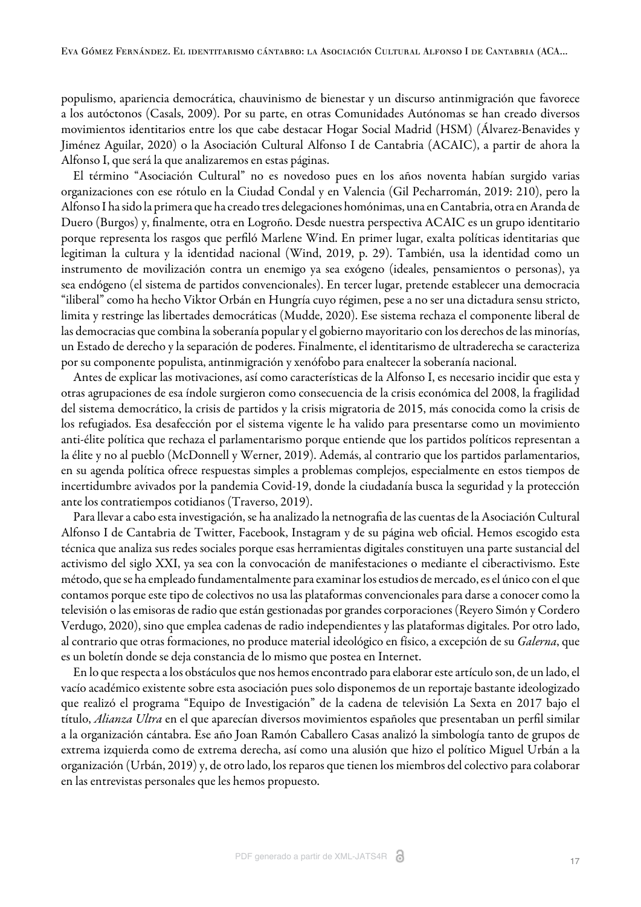populismo, apariencia democrática, chauvinismo de bienestar y un discurso antinmigración que favorece a los autóctonos [\(Casals, 2009\)](#page-13-2). Por su parte, en otras Comunidades Autónomas se han creado diversos movimientos identitarios entre los que cabe destacar Hogar Social Madrid (HSM) ([Álvarez-Benavides y](#page-13-1) [Jiménez Aguilar, 2020](#page-13-1)) o la Asociación Cultural Alfonso I de Cantabria (ACAIC), a partir de ahora la Alfonso I, que será la que analizaremos en estas páginas.

El término "Asociación Cultural" no es novedoso pues en los años noventa habían surgido varias organizaciones con ese rótulo en la Ciudad Condal y en Valencia [\(Gil Pecharromán, 2019: 210\)](#page-14-0), pero la Alfonso I ha sido la primera que ha creado tres delegaciones homónimas, una en Cantabria, otra en Aranda de Duero (Burgos) y, finalmente, otra en Logroño. Desde nuestra perspectiva ACAIC es un grupo identitario porque representa los rasgos que perfiló Marlene Wind. En primer lugar, exalta políticas identitarias que legitiman la cultura y la identidad nacional [\(Wind, 2019, p. 29\)](#page-14-1). También, usa la identidad como un instrumento de movilización contra un enemigo ya sea exógeno (ideales, pensamientos o personas), ya sea endógeno (el sistema de partidos convencionales). En tercer lugar, pretende establecer una democracia "iliberal" como ha hecho Viktor Orbán en Hungría cuyo régimen, pese a no ser una dictadura sensu stricto, limita y restringe las libertades democráticas ([Mudde, 2020\)](#page-14-2). Ese sistema rechaza el componente liberal de las democracias que combina la soberanía popular y el gobierno mayoritario con los derechos de las minorías, un Estado de derecho y la separación de poderes. Finalmente, el identitarismo de ultraderecha se caracteriza por su componente populista, antinmigración y xenófobo para enaltecer la soberanía nacional.

Antes de explicar las motivaciones, así como características de la Alfonso I, es necesario incidir que esta y otras agrupaciones de esa índole surgieron como consecuencia de la crisis económica del 2008, la fragilidad del sistema democrático, la crisis de partidos y la crisis migratoria de 2015, más conocida como la crisis de los refugiados. Esa desafección por el sistema vigente le ha valido para presentarse como un movimiento anti-élite política que rechaza el parlamentarismo porque entiende que los partidos políticos representan a la élite y no al pueblo ([McDonnell y Werner, 2019](#page-14-9)). Además, al contrario que los partidos parlamentarios, en su agenda política ofrece respuestas simples a problemas complejos, especialmente en estos tiempos de incertidumbre avivados por la pandemia Covid-19, donde la ciudadanía busca la seguridad y la protección ante los contratiempos cotidianos [\(Traverso, 2019\)](#page-14-10).

Para llevar a cabo esta investigación, se ha analizado la netnografia de las cuentas de la Asociación Cultural Alfonso I de Cantabria de Twitter, Facebook, Instagram y de su página web oficial. Hemos escogido esta técnica que analiza sus redes sociales porque esas herramientas digitales constituyen una parte sustancial del activismo del siglo XXI, ya sea con la convocación de manifestaciones o mediante el ciberactivismo. Este método, que se ha empleado fundamentalmente para examinar los estudios de mercado, es el único con el que contamos porque este tipo de colectivos no usa las plataformas convencionales para darse a conocer como la televisión o las emisoras de radio que están gestionadas por grandes corporaciones [\(Reyero Simón y Cordero](#page-14-3) [Verdugo, 2020](#page-14-3)), sino que emplea cadenas de radio independientes y las plataformas digitales. Por otro lado, al contrario que otras formaciones, no produce material ideológico en físico, a excepción de su *Galerna*, que es un boletín donde se deja constancia de lo mismo que postea en Internet.

En lo que respecta a los obstáculos que nos hemos encontrado para elaborar este artículo son, de un lado, el vacío académico existente sobre esta asociación pues solo disponemos de un reportaje bastante ideologizado que realizó el programa "Equipo de Investigación" de la cadena de televisión La Sexta en 2017 bajo el título, *Alianza Ultra* en el que aparecían diversos movimientos españoles que presentaban un perfil similar a la organización cántabra. Ese año Joan Ramón Caballero Casas analizó la simbología tanto de grupos de extrema izquierda como de extrema derecha, así como una alusión que hizo el político Miguel Urbán a la organización [\(Urbán, 2019](#page-14-11)) y, de otro lado, los reparos que tienen los miembros del colectivo para colaborar en las entrevistas personales que les hemos propuesto.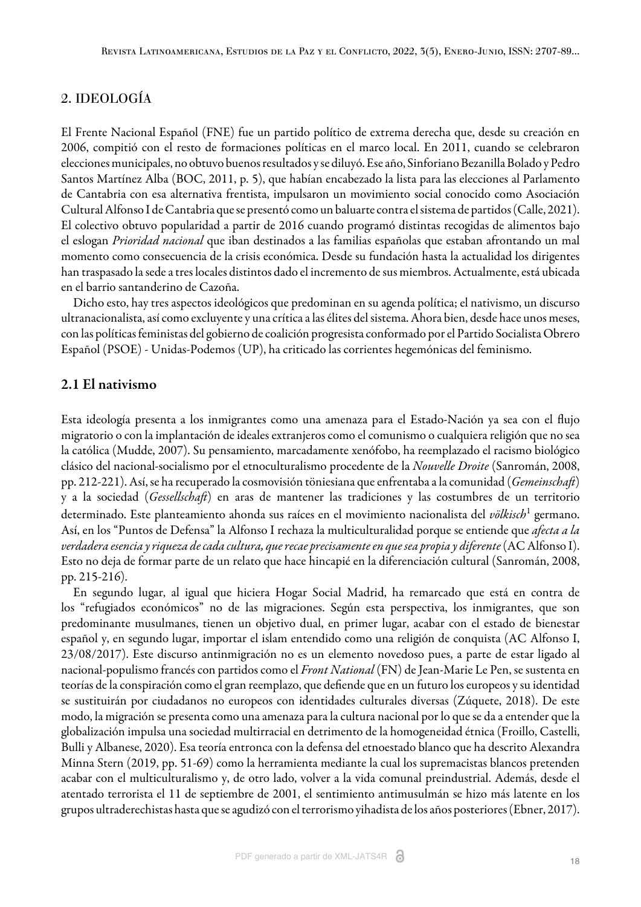## 2. IDEOLOGÍA

El Frente Nacional Español (FNE) fue un partido político de extrema derecha que, desde su creación en 2006, compitió con el resto de formaciones políticas en el marco local. En 2011, cuando se celebraron elecciones municipales, no obtuvo buenos resultados y se diluyó. Ese año, Sinforiano Bezanilla Bolado y Pedro Santos Martínez Alba ([BOC, 2011, p. 5\)](#page-13-3), que habían encabezado la lista para las elecciones al Parlamento de Cantabria con esa alternativa frentista, impulsaron un movimiento social conocido como Asociación Cultural Alfonso I de Cantabria que se presentó como un baluarte contra el sistema de partidos ([Calle, 2021](#page-13-4)). El colectivo obtuvo popularidad a partir de 2016 cuando programó distintas recogidas de alimentos bajo el eslogan *Prioridad nacional* que iban destinados a las familias españolas que estaban afrontando un mal momento como consecuencia de la crisis económica. Desde su fundación hasta la actualidad los dirigentes han traspasado la sede a tres locales distintos dado el incremento de sus miembros. Actualmente, está ubicada en el barrio santanderino de Cazoña.

Dicho esto, hay tres aspectos ideológicos que predominan en su agenda política; el nativismo, un discurso ultranacionalista, así como excluyente y una crítica a las élites del sistema. Ahora bien, desde hace unos meses, con las políticas feministas del gobierno de coalición progresista conformado por el Partido Socialista Obrero Español (PSOE) - Unidas-Podemos (UP), ha criticado las corrientes hegemónicas del feminismo.

# 2.1 El nativismo

Esta ideología presenta a los inmigrantes como una amenaza para el Estado-Nación ya sea con el flujo migratorio o con la implantación de ideales extranjeros como el comunismo o cualquiera religión que no sea la católica [\(Mudde, 2007](#page-14-4)). Su pensamiento, marcadamente xenófobo, ha reemplazado el racismo biológico clásico del nacional-socialismo por el etnoculturalismo procedente de la *Nouvelle Droite* ([Sanromán, 2008,](#page-14-12) [pp. 212-221\)](#page-14-12). Así, se ha recuperado la cosmovisión töniesiana que enfrentaba a la comunidad (*Gemeinscha*) y a la sociedad (*Gessellscha*) en aras de mantener las tradiciones y las costumbres de un territorio determinado. Este planteamiento ahonda sus raíces en el movimiento nacionalista del *völkisch*<sup>[1](#page-16-3)</sup> germano. Así, en los "Puntos de Defensa" la Alfonso I rechaza la multiculturalidad porque se entiende que *afecta a la verdadera esencia y riqueza de cada cultura, que recae precisamente en que sea propia y diferente* [\(AC Alfonso I](#page-14-5)). Esto no deja de formar parte de un relato que hace hincapié en la diferenciación cultural [\(Sanromán, 2008,](#page-14-12) [pp. 215-216\)](#page-14-12).

En segundo lugar, al igual que hiciera Hogar Social Madrid, ha remarcado que está en contra de los "refugiados económicos" no de las migraciones. Según esta perspectiva, los inmigrantes, que son predominante musulmanes, tienen un objetivo dual, en primer lugar, acabar con el estado de bienestar español y, en segundo lugar, importar el islam entendido como una religión de conquista ([AC Alfonso I,](#page-15-1) [23/08/2017](#page-15-1)). Este discurso antinmigración no es un elemento novedoso pues, a parte de estar ligado al nacional-populismo francés con partidos como el *Front National* (FN) de Jean-Marie Le Pen, se sustenta en teorías de la conspiración como el gran reemplazo, que defiende que en un futuro los europeos y su identidad se sustituirán por ciudadanos no europeos con identidades culturales diversas [\(Zúquete, 2018](#page-14-6)). De este modo, la migración se presenta como una amenaza para la cultura nacional por lo que se da a entender que la globalización impulsa una sociedad multirracial en detrimento de la homogeneidad étnica [\(Froillo, Castelli,](#page-14-13) [Bulli y Albanese, 2020\).](#page-14-13) Esa teoría entronca con la defensa del etnoestado blanco que ha descrito [Alexandra](#page-14-7) [Minna Stern \(2019, pp. 51-69\)](#page-14-7) como la herramienta mediante la cual los supremacistas blancos pretenden acabar con el multiculturalismo y, de otro lado, volver a la vida comunal preindustrial. Además, desde el atentado terrorista el 11 de septiembre de 2001, el sentimiento antimusulmán se hizo más latente en los grupos ultraderechistas hasta que se agudizó con el terrorismo yihadista de los años posteriores ([Ebner, 2017](#page-14-14)).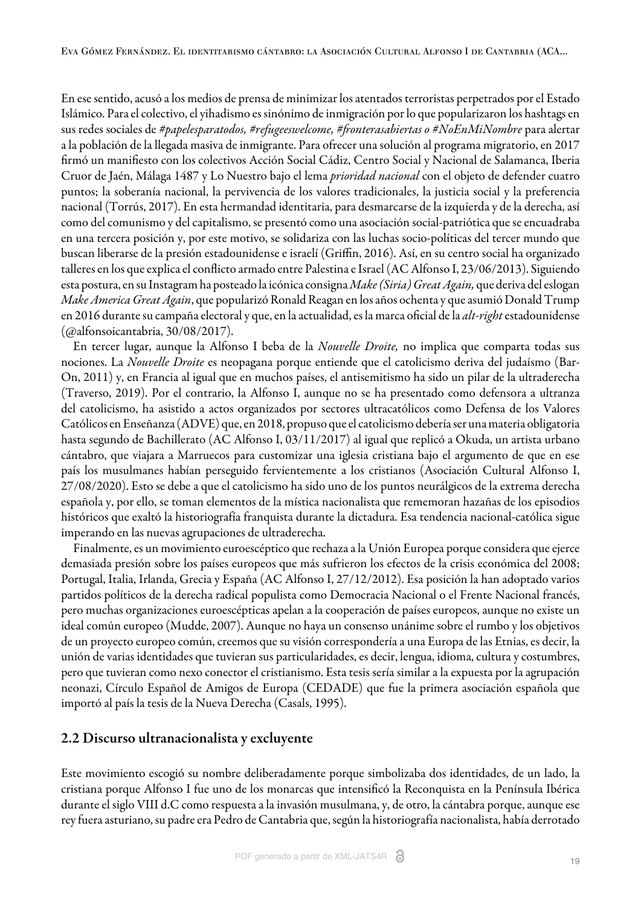En ese sentido, acusó a los medios de prensa de minimizar los atentados terroristas perpetrados por el Estado Islámico. Para el colectivo, el yihadismo es sinónimo de inmigración por lo que popularizaron los hashtags en sus redes sociales de #papelesparatodos, #refugeeswelcome, #fronterasabiertas o #NoEnMiNombre para alertar a la población de la llegada masiva de inmigrante. Para ofrecer una solución al programa migratorio, en 2017 firmó un manifiesto con los colectivos Acción Social Cádiz, Centro Social y Nacional de Salamanca, Iberia Cruor de Jaén, Málaga 1487 y Lo Nuestro bajo el lema *prioridad nacional* con el objeto de defender cuatro puntos; la soberanía nacional, la pervivencia de los valores tradicionales, la justicia social y la preferencia nacional ([Torrús, 2017](#page-14-15)). En esta hermandad identitaria, para desmarcarse de la izquierda y de la derecha, así como del comunismo y del capitalismo, se presentó como una asociación social-patriótica que se encuadraba en una tercera posición y, por este motivo, se solidariza con las luchas socio-políticas del tercer mundo que buscan liberarse de la presión estadounidense e israelí [\(Griffin, 2016\)](#page-14-16). Así, en su centro social ha organizado talleres en los que explica el conflicto armado entre Palestina e Israel [\(AC Alfonso I, 23/06/2013\)](#page-15-2). Siguiendo esta postura, en su Instagram ha posteado la icónica consigna *Make (Siria) Great Again,* que deriva del eslogan *Make America Great Again*, que popularizó Ronald Reagan en los años ochenta y que asumió Donald Trump en 2016 durante su campaña electoral y que, en la actualidad, es la marca oficial de la *alt-right* estadounidense ([@alfonsoicantabria, 30/08/2017](#page-16-4)).

En tercer lugar, aunque la Alfonso I beba de la *Nouvelle Droite,* no implica que comparta todas sus nociones. La *Nouvelle Droite* es neopagana porque entiende que el catolicismo deriva del judaísmo [\(Bar-](#page-13-5)[On, 2011\)](#page-13-5) y, en Francia al igual que en muchos países, el antisemitismo ha sido un pilar de la ultraderecha ([Traverso, 2019\)](#page-14-10). Por el contrario, la Alfonso I, aunque no se ha presentado como defensora a ultranza del catolicismo, ha asistido a actos organizados por sectores ultracatólicos como Defensa de los Valores Católicos en Enseñanza (ADVE) que, en 2018, propuso que el catolicismo debería ser una materia obligatoria hasta segundo de Bachillerato ([AC Alfonso I, 03/11/2017](#page-15-3)) al igual que replicó a Okuda, un artista urbano cántabro, que viajara a Marruecos para customizar una iglesia cristiana bajo el argumento de que en ese país los musulmanes habían perseguido fervientemente a los cristianos [\(Asociación Cultural Alfonso I,](#page-16-5) [27/08/2020](#page-16-5)). Esto se debe a que el catolicismo ha sido uno de los puntos neurálgicos de la extrema derecha española y, por ello, se toman elementos de la mística nacionalista que rememoran hazañas de los episodios históricos que exaltó la historiografía franquista durante la dictadura. Esa tendencia nacional-católica sigue imperando en las nuevas agrupaciones de ultraderecha.

Finalmente, es un movimiento euroescéptico que rechaza a la Unión Europea porque considera que ejerce demasiada presión sobre los países europeos que más sufrieron los efectos de la crisis económica del 2008; Portugal, Italia, Irlanda, Grecia y España ([AC Alfonso I, 27/12/2012\)](#page-15-4). Esa posición la han adoptado varios partidos políticos de la derecha radical populista como Democracia Nacional o el Frente Nacional francés, pero muchas organizaciones euroescépticas apelan a la cooperación de países europeos, aunque no existe un ideal común europeo [\(Mudde, 2007\).](#page-14-4) Aunque no haya un consenso unánime sobre el rumbo y los objetivos de un proyecto europeo común, creemos que su visión correspondería a una Europa de las Etnias, es decir, la unión de varias identidades que tuvieran sus particularidades, es decir, lengua, idioma, cultura y costumbres, pero que tuvieran como nexo conector el cristianismo. Esta tesis sería similar a la expuesta por la agrupación neonazi, Círculo Español de Amigos de Europa (CEDADE) que fue la primera asociación española que importó al país la tesis de la Nueva Derecha ([Casals, 1995](#page-13-6)).

## 2.2 Discurso ultranacionalista y excluyente

Este movimiento escogió su nombre deliberadamente porque simbolizaba dos identidades, de un lado, la cristiana porque Alfonso I fue uno de los monarcas que intensificó la Reconquista en la Península Ibérica durante el siglo VIII d.C como respuesta a la invasión musulmana, y, de otro, la cántabra porque, aunque ese rey fuera asturiano, su padre era Pedro de Cantabria que, según la historiografía nacionalista, había derrotado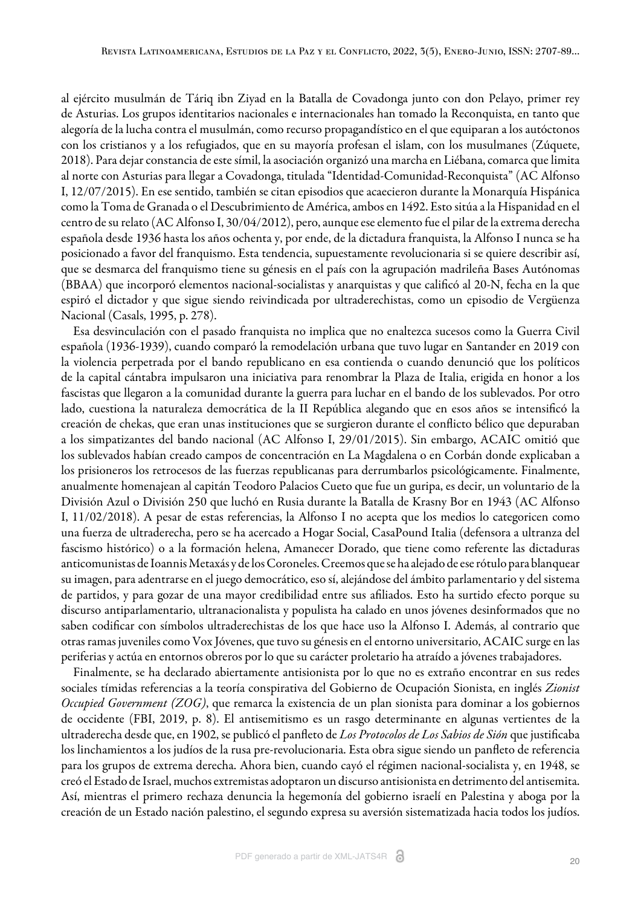al ejército musulmán de Táriq ibn Ziyad en la Batalla de Covadonga junto con don Pelayo, primer rey de Asturias. Los grupos identitarios nacionales e internacionales han tomado la Reconquista, en tanto que alegoría de la lucha contra el musulmán, como recurso propagandístico en el que equiparan a los autóctonos con los cristianos y a los refugiados, que en su mayoría profesan el islam, con los musulmanes ([Zúquete,](#page-14-6) [2018](#page-14-6)). Para dejar constancia de este símil, la asociación organizó una marcha en Liébana, comarca que limita al norte con Asturias para llegar a Covadonga, titulada "Identidad-Comunidad-Reconquista" [\(AC Alfonso](#page-15-5) [I, 12/07/2015](#page-15-5)). En ese sentido, también se citan episodios que acaecieron durante la Monarquía Hispánica como la Toma de Granada o el Descubrimiento de América, ambos en 1492. Esto sitúa a la Hispanidad en el centro de su relato ([AC Alfonso I, 30/04/2012](#page-14-17)), pero, aunque ese elemento fue el pilar de la extrema derecha española desde 1936 hasta los años ochenta y, por ende, de la dictadura franquista, la Alfonso I nunca se ha posicionado a favor del franquismo. Esta tendencia, supuestamente revolucionaria si se quiere describir así, que se desmarca del franquismo tiene su génesis en el país con la agrupación madrileña Bases Autónomas (BBAA) que incorporó elementos nacional-socialistas y anarquistas y que calificó al 20-N, fecha en la que espiró el dictador y que sigue siendo reivindicada por ultraderechistas, como un episodio de Vergüenza Nacional ([Casals, 1995, p. 278\)](#page-13-6).

Esa desvinculación con el pasado franquista no implica que no enaltezca sucesos como la Guerra Civil española (1936-1939), cuando comparó la remodelación urbana que tuvo lugar en Santander en 2019 con la violencia perpetrada por el bando republicano en esa contienda o cuando denunció que los políticos de la capital cántabra impulsaron una iniciativa para renombrar la Plaza de Italia, erigida en honor a los fascistas que llegaron a la comunidad durante la guerra para luchar en el bando de los sublevados. Por otro lado, cuestiona la naturaleza democrática de la II República alegando que en esos años se intensificó la creación de chekas, que eran unas instituciones que se surgieron durante el conflicto bélico que depuraban a los simpatizantes del bando nacional ([AC Alfonso I, 29/01/2015](#page-15-0)). Sin embargo, ACAIC omitió que los sublevados habían creado campos de concentración en La Magdalena o en Corbán donde explicaban a los prisioneros los retrocesos de las fuerzas republicanas para derrumbarlos psicológicamente. Finalmente, anualmente homenajean al capitán Teodoro Palacios Cueto que fue un guripa, es decir, un voluntario de la División Azul o División 250 que luchó en Rusia durante la Batalla de Krasny Bor en 1943 ([AC Alfonso](#page-15-6) [I, 11/02/2018\)](#page-15-6). A pesar de estas referencias, la Alfonso I no acepta que los medios lo categoricen como una fuerza de ultraderecha, pero se ha acercado a Hogar Social, CasaPound Italia (defensora a ultranza del fascismo histórico) o a la formación helena, Amanecer Dorado, que tiene como referente las dictaduras anticomunistas de Ioannis Metaxás y de los Coroneles. Creemos que se ha alejado de ese rótulo para blanquear su imagen, para adentrarse en el juego democrático, eso sí, alejándose del ámbito parlamentario y del sistema de partidos, y para gozar de una mayor credibilidad entre sus afiliados. Esto ha surtido efecto porque su discurso antiparlamentario, ultranacionalista y populista ha calado en unos jóvenes desinformados que no saben codificar con símbolos ultraderechistas de los que hace uso la Alfonso I. Además, al contrario que otras ramas juveniles como Vox Jóvenes, que tuvo su génesis en el entorno universitario, ACAIC surge en las periferias y actúa en entornos obreros por lo que su carácter proletario ha atraído a jóvenes trabajadores.

Finalmente, se ha declarado abiertamente antisionista por lo que no es extraño encontrar en sus redes sociales tímidas referencias a la teoría conspirativa del Gobierno de Ocupación Sionista, en inglés *Zionist Occupied Government (ZOG)*, que remarca la existencia de un plan sionista para dominar a los gobiernos de occidente ([FBI, 2019, p. 8](#page-14-8)). El antisemitismo es un rasgo determinante en algunas vertientes de la ultraderecha desde que, en 1902, se publicó el panfleto de *Los Protocolos de Los Sabios de Sión* que justificaba los linchamientos a los judíos de la rusa pre-revolucionaria. Esta obra sigue siendo un panfleto de referencia para los grupos de extrema derecha. Ahora bien, cuando cayó el régimen nacional-socialista y, en 1948, se creó el Estado de Israel, muchos extremistas adoptaron un discurso antisionista en detrimento del antisemita. Así, mientras el primero rechaza denuncia la hegemonía del gobierno israelí en Palestina y aboga por la creación de un Estado nación palestino, el segundo expresa su aversión sistematizada hacia todos los judíos.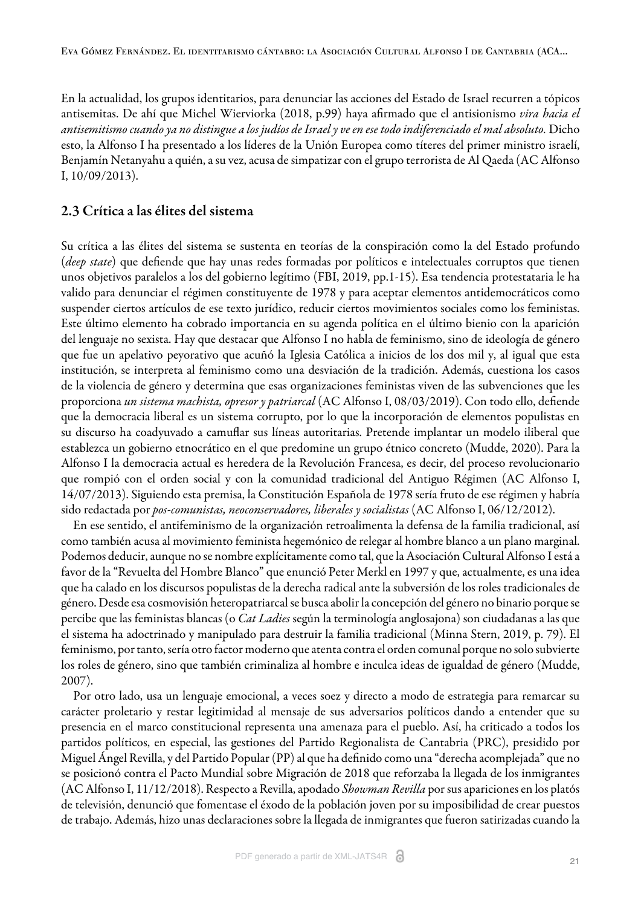En la actualidad, los grupos identitarios, para denunciar las acciones del Estado de Israel recurren a tópicos antisemitas. De ahí que [Michel Wierviorka \(2018, p.99\)](#page-14-18) haya afirmado que el antisionismo *vira hacia el antisemitismo cuando ya no distingue a los judíos de Israel y ve en ese todo indiferenciado el mal absoluto.* Dicho esto, la Alfonso I ha presentado a los líderes de la Unión Europea como títeres del primer ministro israelí, Benjamín Netanyahu a quién, a su vez, acusa de simpatizar con el grupo terrorista de Al Qaeda [\(AC Alfonso](#page-15-7) [I, 10/09/2013\)](#page-15-7).

## 2.3 Crítica a las élites del sistema

Su crítica a las élites del sistema se sustenta en teorías de la conspiración como la del Estado profundo (*deep state*) que defiende que hay unas redes formadas por políticos e intelectuales corruptos que tienen unos objetivos paralelos a los del gobierno legítimo [\(FBI, 2019, pp.1-15](#page-14-8)). Esa tendencia protestataria le ha valido para denunciar el régimen constituyente de 1978 y para aceptar elementos antidemocráticos como suspender ciertos artículos de ese texto jurídico, reducir ciertos movimientos sociales como los feministas. Este último elemento ha cobrado importancia en su agenda política en el último bienio con la aparición del lenguaje no sexista. Hay que destacar que Alfonso I no habla de feminismo, sino de ideología de género que fue un apelativo peyorativo que acuñó la Iglesia Católica a inicios de los dos mil y, al igual que esta institución, se interpreta al feminismo como una desviación de la tradición. Además, cuestiona los casos de la violencia de género y determina que esas organizaciones feministas viven de las subvenciones que les proporciona *un sistema machista, opresor y patriarcal* [\(AC Alfonso I, 08/03/2019\)](#page-16-0). Con todo ello, defiende que la democracia liberal es un sistema corrupto, por lo que la incorporación de elementos populistas en su discurso ha coadyuvado a camuflar sus líneas autoritarias. Pretende implantar un modelo iliberal que establezca un gobierno etnocrático en el que predomine un grupo étnico concreto [\(Mudde, 2020\).](#page-14-2) Para la Alfonso I la democracia actual es heredera de la Revolución Francesa, es decir, del proceso revolucionario que rompió con el orden social y con la comunidad tradicional del Antiguo Régimen [\(AC Alfonso I,](#page-15-8) [14/07/2013](#page-15-8)). Siguiendo esta premisa, la Constitución Española de 1978 sería fruto de ese régimen y habría sido redactada por *pos-comunistas, neoconservadores, liberales y socialistas* [\(AC Alfonso I, 06/12/2012](#page-15-9)).

En ese sentido, el antifeminismo de la organización retroalimenta la defensa de la familia tradicional, así como también acusa al movimiento feminista hegemónico de relegar al hombre blanco a un plano marginal. Podemos deducir, aunque no se nombre explícitamente como tal, que la Asociación Cultural Alfonso I está a favor de la "Revuelta del Hombre Blanco" que enunció Peter Merkl en 1997 y que, actualmente, es una idea que ha calado en los discursos populistas de la derecha radical ante la subversión de los roles tradicionales de género. Desde esa cosmovisión heteropatriarcal se busca abolir la concepción del género no binario porque se percibe que las feministas blancas (o *Cat Ladies* según la terminología anglosajona) son ciudadanas a las que el sistema ha adoctrinado y manipulado para destruir la familia tradicional [\(Minna Stern, 2019, p. 79\).](#page-14-7) El feminismo, por tanto, sería otro factor moderno que atenta contra el orden comunal porque no solo subvierte los roles de género, sino que también criminaliza al hombre e inculca ideas de igualdad de género ([Mudde,](#page-14-4) [2007](#page-14-4)).

Por otro lado, usa un lenguaje emocional, a veces soez y directo a modo de estrategia para remarcar su carácter proletario y restar legitimidad al mensaje de sus adversarios políticos dando a entender que su presencia en el marco constitucional representa una amenaza para el pueblo. Así, ha criticado a todos los partidos políticos, en especial, las gestiones del Partido Regionalista de Cantabria (PRC), presidido por Miguel Ángel Revilla, y del Partido Popular (PP) al que ha definido como una "derecha acomplejada" que no se posicionó contra el Pacto Mundial sobre Migración de 2018 que reforzaba la llegada de los inmigrantes ([AC Alfonso I, 11/12/2018\)](#page-16-6). Respecto a Revilla, apodado *Showman Revilla* por sus apariciones en los platós de televisión, denunció que fomentase el éxodo de la población joven por su imposibilidad de crear puestos de trabajo. Además, hizo unas declaraciones sobre la llegada de inmigrantes que fueron satirizadas cuando la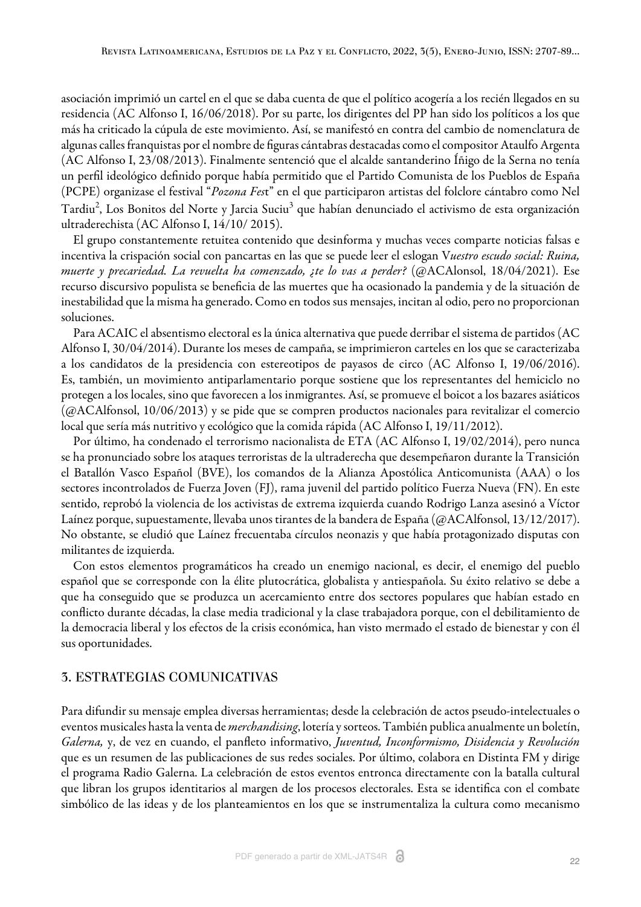asociación imprimió un cartel en el que se daba cuenta de que el político acogería a los recién llegados en su residencia ([AC Alfonso I, 16/06/2018\)](#page-16-7). Por su parte, los dirigentes del PP han sido los políticos a los que más ha criticado la cúpula de este movimiento. Así, se manifestó en contra del cambio de nomenclatura de algunas calles franquistas por el nombre de figuras cántabras destacadas como el compositor Ataulfo Argenta ([AC Alfonso I, 23/08/2013](#page-15-10)). Finalmente sentenció que el alcalde santanderino Íñigo de la Serna no tenía un perfil ideológico definido porque había permitido que el Partido Comunista de los Pueblos de España (PCPE) organizase el festival "*Pozona Fes*t" en el que participaron artistas del folclore cántabro como Nel Tardiu<sup>[2](#page-17-0)</sup>, Los Bonitos del Norte y Jarcia Suciu $^3$  $^3$  que habían denunciado el activismo de esta organización ultraderechista ([AC Alfonso I, 14/10/ 2015\).](#page-15-11)

El grupo constantemente retuitea contenido que desinforma y muchas veces comparte noticias falsas e incentiva la crispación social con pancartas en las que se puede leer el eslogan V*uestro escudo social: Ruina, muerte y precariedad. La revuelta ha comenzado, ¿te lo vas a perder?* [\(@ACAlonsol, 18/04/2021](#page-16-8)). Ese recurso discursivo populista se beneficia de las muertes que ha ocasionado la pandemia y de la situación de inestabilidad que la misma ha generado. Como en todos sus mensajes, incitan al odio, pero no proporcionan soluciones.

Para ACAIC el absentismo electoral es la única alternativa que puede derribar el sistema de partidos ([AC](#page-15-12) [Alfonso I, 30/04/2014\)](#page-15-12). Durante los meses de campaña, se imprimieron carteles en los que se caracterizaba a los candidatos de la presidencia con estereotipos de payasos de circo ([AC Alfonso I, 19/06/2016](#page-15-13)). Es, también, un movimiento antiparlamentario porque sostiene que los representantes del hemiciclo no protegen a los locales, sino que favorecen a los inmigrantes. Así, se promueve el boicot a los bazares asiáticos ([@ACAlfonsol, 10/06/2013](#page-16-9)) y se pide que se compren productos nacionales para revitalizar el comercio local que sería más nutritivo y ecológico que la comida rápida ([AC Alfonso I, 19/11/2012](#page-14-19)).

Por último, ha condenado el terrorismo nacionalista de ETA [\(AC Alfonso I, 19/02/2014\)](#page-15-14), pero nunca se ha pronunciado sobre los ataques terroristas de la ultraderecha que desempeñaron durante la Transición el Batallón Vasco Español (BVE), los comandos de la Alianza Apostólica Anticomunista (AAA) o los sectores incontrolados de Fuerza Joven (FJ), rama juvenil del partido político Fuerza Nueva (FN). En este sentido, reprobó la violencia de los activistas de extrema izquierda cuando Rodrigo Lanza asesinó a Víctor Laínez porque, supuestamente, llevaba unos tirantes de la bandera de España ([@ACAlfonsol, 13/12/2017](#page-16-10)). No obstante, se eludió que Laínez frecuentaba círculos neonazis y que había protagonizado disputas con militantes de izquierda.

Con estos elementos programáticos ha creado un enemigo nacional, es decir, el enemigo del pueblo español que se corresponde con la élite plutocrática, globalista y antiespañola. Su éxito relativo se debe a que ha conseguido que se produzca un acercamiento entre dos sectores populares que habían estado en conflicto durante décadas, la clase media tradicional y la clase trabajadora porque, con el debilitamiento de la democracia liberal y los efectos de la crisis económica, han visto mermado el estado de bienestar y con él sus oportunidades.

### 3. ESTRATEGIAS COMUNICATIVAS

Para difundir su mensaje emplea diversas herramientas; desde la celebración de actos pseudo-intelectuales o eventos musicales hasta la venta de *merchandising*, lotería y sorteos. También publica anualmente un boletín, *Galerna,* y, de vez en cuando, el panfleto informativo, *Juventud, Inconformismo, Disidencia y Revolución* que es un resumen de las publicaciones de sus redes sociales. Por último, colabora en Distinta FM y dirige el programa Radio Galerna. La celebración de estos eventos entronca directamente con la batalla cultural que libran los grupos identitarios al margen de los procesos electorales. Esta se identifica con el combate simbólico de las ideas y de los planteamientos en los que se instrumentaliza la cultura como mecanismo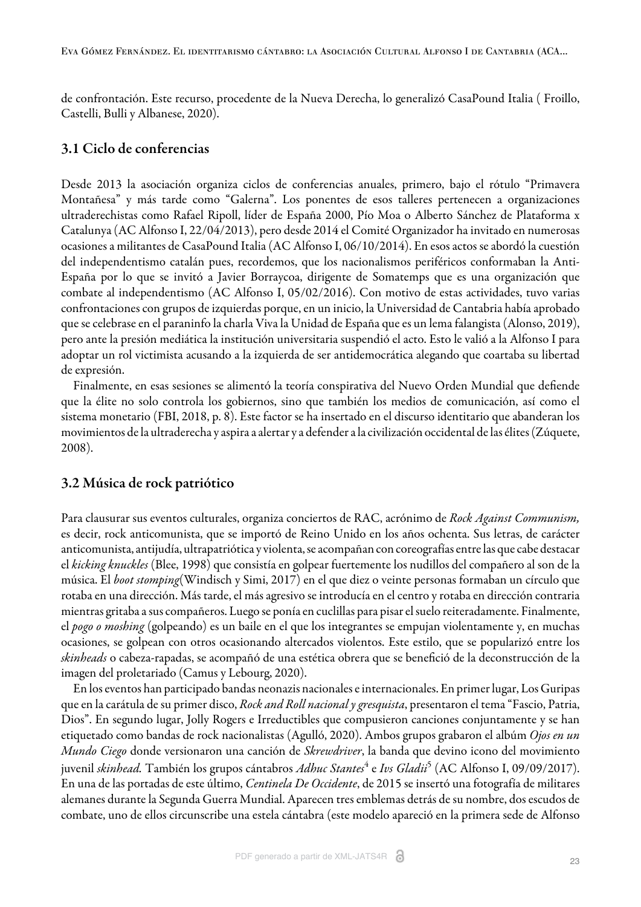de confrontación. Este recurso, procedente de la Nueva Derecha, lo generalizó CasaPound Italia [\( Froillo,](#page-14-13) [Castelli, Bulli y Albanese, 2020\).](#page-14-13)

## 3.1 Ciclo de conferencias

Desde 2013 la asociación organiza ciclos de conferencias anuales, primero, bajo el rótulo "Primavera Montañesa" y más tarde como "Galerna". Los ponentes de esos talleres pertenecen a organizaciones ultraderechistas como Rafael Ripoll, líder de España 2000, Pío Moa o Alberto Sánchez de Plataforma x Catalunya [\(AC Alfonso I, 22/04/2013\)](#page-15-15), pero desde 2014 el Comité Organizador ha invitado en numerosas ocasiones a militantes de CasaPound Italia ([AC Alfonso I, 06/10/2014\).](#page-15-16) En esos actos se abordó la cuestión del independentismo catalán pues, recordemos, que los nacionalismos periféricos conformaban la Anti-España por lo que se invitó a Javier Borraycoa, dirigente de Somatemps que es una organización que combate al independentismo [\(AC Alfonso I, 05/02/2016\)](#page-15-17). Con motivo de estas actividades, tuvo varias confrontaciones con grupos de izquierdas porque, en un inicio, la Universidad de Cantabria había aprobado que se celebrase en el paraninfo la charla Viva la Unidad de España que es un lema falangista [\(Alonso, 2019](#page-13-7)), pero ante la presión mediática la institución universitaria suspendió el acto. Esto le valió a la Alfonso I para adoptar un rol victimista acusando a la izquierda de ser antidemocrática alegando que coartaba su libertad de expresión.

Finalmente, en esas sesiones se alimentó la teoría conspirativa del Nuevo Orden Mundial que defiende que la élite no solo controla los gobiernos, sino que también los medios de comunicación, así como el sistema monetario [\(FBI, 2018, p. 8\)](#page-14-8). Este factor se ha insertado en el discurso identitario que abanderan los movimientos de la ultraderecha y aspira a alertar y a defender a la civilización occidental de las élites ([Zúquete,](#page-14-20) [2008](#page-14-20)).

## 3.2 Música de rock patriótico

Para clausurar sus eventos culturales, organiza conciertos de RAC, acrónimo de *Rock Against Communism,* es decir, rock anticomunista, que se importó de Reino Unido en los años ochenta. Sus letras, de carácter anticomunista, antijudía, ultrapatriótica y violenta, se acompañan con coreografías entre las que cabe destacar el *kicking knuckles* [\(Blee, 1998\)](#page-13-8) que consistía en golpear fuertemente los nudillos del compañero al son de la música. El *boot stomping*[\(Windisch y Simi, 2017\)](#page-14-21) en el que diez o veinte personas formaban un círculo que rotaba en una dirección. Más tarde, el más agresivo se introducía en el centro y rotaba en dirección contraria mientras gritaba a sus compañeros. Luego se ponía en cuclillas para pisar el suelo reiteradamente. Finalmente, el *pogo o moshing* (golpeando) es un baile en el que los integrantes se empujan violentamente y, en muchas ocasiones, se golpean con otros ocasionando altercados violentos. Este estilo, que se popularizó entre los *skinheads* o cabeza-rapadas, se acompañó de una estética obrera que se benefició de la deconstrucción de la imagen del proletariado [\(Camus y Lebourg, 2020\)](#page-13-9).

En los eventos han participado bandas neonazis nacionales e internacionales. En primer lugar, Los Guripas que en la carátula de su primer disco, *Rock and Roll nacional y gresquista*, presentaron el tema "Fascio, Patria, Dios". En segundo lugar, Jolly Rogers e Irreductibles que compusieron canciones conjuntamente y se han etiquetado como bandas de rock nacionalistas ([Agulló, 2020\)](#page-13-10). Ambos grupos grabaron el albúm *Ojos en un Mundo Ciego* donde versionaron una canción de *Skrewdriver*, la banda que devino icono del movimiento juvenil *skinhead*. También los grupos cántabros *Adhuc Stantes*<sup>[4](#page-17-2)</sup> e *Ivs Gladii*<sup>[5](#page-17-3)</sup> ([AC Alfonso I, 09/09/2017](#page-15-18)). En una de las portadas de este último, *Centinela De Occidente*, de 2015 se insertó una fotografía de militares alemanes durante la Segunda Guerra Mundial. Aparecen tres emblemas detrás de su nombre, dos escudos de combate, uno de ellos circunscribe una estela cántabra (este modelo apareció en la primera sede de Alfonso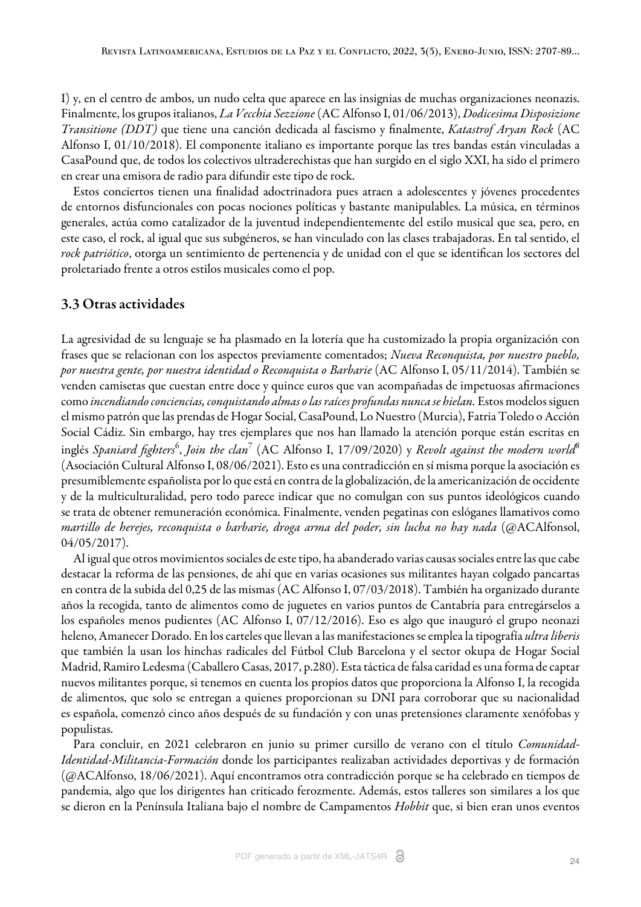I) y, en el centro de ambos, un nudo celta que aparece en las insignias de muchas organizaciones neonazis. Finalmente, los grupos italianos, *La Vecchia Sezzione* ([AC Alfonso I, 01/06/2013](#page-15-19)), *Dodicesima Disposizione Transitione (DDT)* que tiene una canción dedicada al fascismo y finalmente, *Katastrof Aryan Rock* ([AC](#page-16-1) [Alfonso I, 01/10/2018\)](#page-16-1). El componente italiano es importante porque las tres bandas están vinculadas a CasaPound que, de todos los colectivos ultraderechistas que han surgido en el siglo XXI, ha sido el primero en crear una emisora de radio para difundir este tipo de rock.

Estos conciertos tienen una finalidad adoctrinadora pues atraen a adolescentes y jóvenes procedentes de entornos disfuncionales con pocas nociones políticas y bastante manipulables. La música, en términos generales, actúa como catalizador de la juventud independientemente del estilo musical que sea, pero, en este caso, el rock, al igual que sus subgéneros, se han vinculado con las clases trabajadoras. En tal sentido, el *rock patriótico*, otorga un sentimiento de pertenencia y de unidad con el que se identifican los sectores del proletariado frente a otros estilos musicales como el pop.

# 3.3 Otras actividades

La agresividad de su lenguaje se ha plasmado en la lotería que ha customizado la propia organización con frases que se relacionan con los aspectos previamente comentados; *Nueva Reconquista, por nuestro pueblo, por nuestra gente, por nuestra identidad o Reconquista o Barbarie* [\(AC Alfonso I, 05/11/2014](#page-15-20)). También se venden camisetas que cuestan entre doce y quince euros que van acompañadas de impetuosas afirmaciones como *incendiando conciencias, conquistando almas o las raíces profundas nunca se hielan.* Estos modelos siguen el mismo patrón que las prendas de Hogar Social, CasaPound, Lo Nuestro (Murcia), Fatria Toledo o Acción Social Cádiz. Sin embargo, hay tres ejemplares que nos han llamado la atención porque están escritas en inglés *Spaniard fighters<sup>[6](#page-17-4)</sup>, Join the clan<sup>[7](#page-17-5)</sup> [\(AC Alfonso I, 17/09/2020\)](#page-16-11) y <i>Revolt against the modern world*<sup>[8](#page-17-6)</sup> ([Asociación Cultural Alfonso I, 08/06/2021](#page-16-12)). Esto es una contradicción en sí misma porque la asociación es presumiblemente españolista por lo que está en contra de la globalización, de la americanización de occidente y de la multiculturalidad, pero todo parece indicar que no comulgan con sus puntos ideológicos cuando se trata de obtener remuneración económica. Finalmente, venden pegatinas con eslóganes llamativos como *martillo de herejes, reconquista o barbarie, droga arma del poder, sin lucha no hay nada* ([@ACAlfonsol,](#page-16-13) [04/05/2017](#page-16-13)).

Al igual que otros movimientos sociales de este tipo, ha abanderado varias causas sociales entre las que cabe destacar la reforma de las pensiones, de ahí que en varias ocasiones sus militantes hayan colgado pancartas en contra de la subida del 0,25 de las mismas ([AC Alfonso I, 07/03/2018](#page-15-21)). También ha organizado durante años la recogida, tanto de alimentos como de juguetes en varios puntos de Cantabria para entregárselos a los españoles menos pudientes ([AC Alfonso I, 07/12/2016\)](#page-15-22). Eso es algo que inauguró el grupo neonazi heleno, Amanecer Dorado. En los carteles que llevan a las manifestaciones se emplea la tipografía *ultra liberis* que también la usan los hinchas radicales del Fútbol Club Barcelona y el sector okupa de Hogar Social Madrid, Ramiro Ledesma ([Caballero Casas, 2017, p.280](#page-13-11)). Esta táctica de falsa caridad es una forma de captar nuevos militantes porque, si tenemos en cuenta los propios datos que proporciona la Alfonso I, la recogida de alimentos, que solo se entregan a quienes proporcionan su DNI para corroborar que su nacionalidad es española, comenzó cinco años después de su fundación y con unas pretensiones claramente xenófobas y populistas.

Para concluir, en 2021 celebraron en junio su primer cursillo de verano con el título *Comunidad-Identidad-Militancia-Formación* donde los participantes realizaban actividades deportivas y de formación ([@ACAlfonso, 18/06/2021\)](#page-16-2). Aquí encontramos otra contradicción porque se ha celebrado en tiempos de pandemia, algo que los dirigentes han criticado ferozmente. Además, estos talleres son similares a los que se dieron en la Península Italiana bajo el nombre de Campamentos *Hobbit* que, si bien eran unos eventos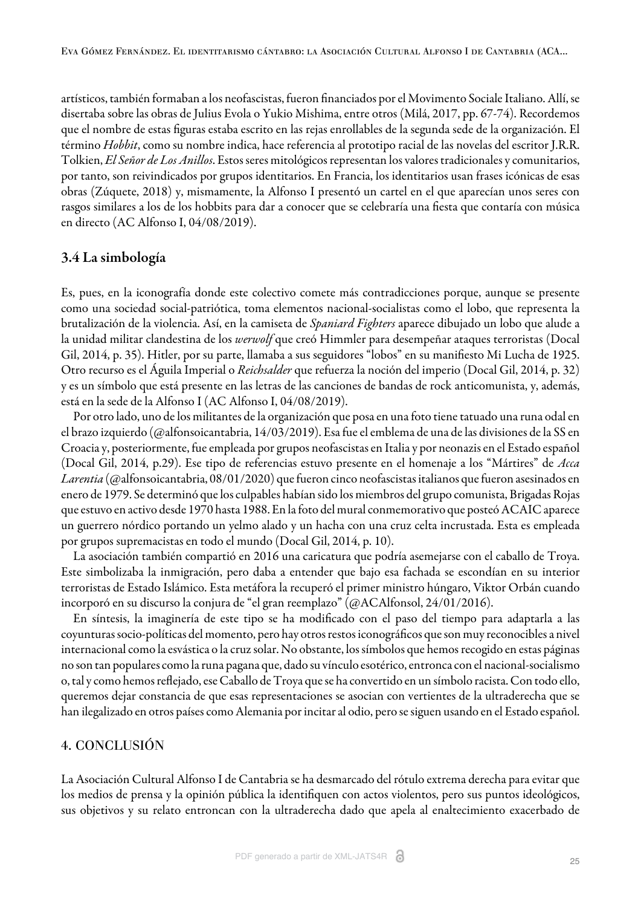artísticos, también formaban a los neofascistas, fueron financiados por el Movimento Sociale Italiano. Allí, se disertaba sobre las obras de Julius Evola o Yukio Mishima, entre otros ([Milá, 2017, pp. 67-74](#page-14-22)). Recordemos que el nombre de estas figuras estaba escrito en las rejas enrollables de la segunda sede de la organización. El término *Hobbit*, como su nombre indica, hace referencia al prototipo racial de las novelas del escritor J.R.R. Tolkien, *El Señor de Los Anillos*. Estos seres mitológicos representan los valores tradicionales y comunitarios, por tanto, son reivindicados por grupos identitarios. En Francia, los identitarios usan frases icónicas de esas obras [\(Zúquete, 2018\)](#page-14-6) y, mismamente, la Alfonso I presentó un cartel en el que aparecían unos seres con rasgos similares a los de los hobbits para dar a conocer que se celebraría una fiesta que contaría con música en directo ([AC Alfonso I, 04/08/2019\)](#page-16-14).

# 3.4 La simbología

Es, pues, en la iconografía donde este colectivo comete más contradicciones porque, aunque se presente como una sociedad social-patriótica, toma elementos nacional-socialistas como el lobo, que representa la brutalización de la violencia. Así, en la camiseta de *Spaniard Fighters* aparece dibujado un lobo que alude a la unidad militar clandestina de los *werwolf* que creó Himmler para desempeñar ataques terroristas [\(Docal](#page-14-23) [Gil, 2014, p. 35](#page-14-23)). Hitler, por su parte, llamaba a sus seguidores "lobos" en su manifiesto Mi Lucha de 1925. Otro recurso es el Águila Imperial o *Reichsalder* que refuerza la noción del imperio [\(Docal Gil, 2014, p. 32](#page-14-23)) y es un símbolo que está presente en las letras de las canciones de bandas de rock anticomunista, y, además, está en la sede de la Alfonso I ([AC Alfonso I, 04/08/2019\)](#page-16-14).

Por otro lado, uno de los militantes de la organización que posa en una foto tiene tatuado una runa odal en el brazo izquierdo ([@alfonsoicantabria, 14/03/2019](#page-16-15)). Esa fue el emblema de una de las divisiones de la SS en Croacia y, posteriormente, fue empleada por grupos neofascistas en Italia y por neonazis en el Estado español ([Docal Gil, 2014, p.29\)](#page-14-23). Ese tipo de referencias estuvo presente en el homenaje a los "Mártires" de *Acca Larentia* ([@alfonsoicantabria, 08/01/2020](#page-16-16)) que fueron cinco neofascistas italianos que fueron asesinados en enero de 1979. Se determinó que los culpables habían sido los miembros del grupo comunista, Brigadas Rojas que estuvo en activo desde 1970 hasta 1988. En la foto del mural conmemorativo que posteó ACAIC aparece un guerrero nórdico portando un yelmo alado y un hacha con una cruz celta incrustada. Esta es empleada por grupos supremacistas en todo el mundo ([Docal Gil, 2014, p. 10](#page-14-23)).

La asociación también compartió en 2016 una caricatura que podría asemejarse con el caballo de Troya. Este simbolizaba la inmigración, pero daba a entender que bajo esa fachada se escondían en su interior terroristas de Estado Islámico. Esta metáfora la recuperó el primer ministro húngaro, Viktor Orbán cuando incorporó en su discurso la conjura de "el gran reemplazo" [\(@ACAlfonsol, 24/01/2016\).](#page-16-17)

En síntesis, la imaginería de este tipo se ha modificado con el paso del tiempo para adaptarla a las coyunturas socio-políticas del momento, pero hay otros restos iconográficos que son muy reconocibles a nivel internacional como la esvástica o la cruz solar. No obstante, los símbolos que hemos recogido en estas páginas no son tan populares como la runa pagana que, dado su vínculo esotérico, entronca con el nacional-socialismo o, tal y como hemos reflejado, ese Caballo de Troya que se ha convertido en un símbolo racista. Con todo ello, queremos dejar constancia de que esas representaciones se asocian con vertientes de la ultraderecha que se han ilegalizado en otros países como Alemania por incitar al odio, pero se siguen usando en el Estado español.

## 4. CONCLUSIÓN

La Asociación Cultural Alfonso I de Cantabria se ha desmarcado del rótulo extrema derecha para evitar que los medios de prensa y la opinión pública la identifiquen con actos violentos, pero sus puntos ideológicos, sus objetivos y su relato entroncan con la ultraderecha dado que apela al enaltecimiento exacerbado de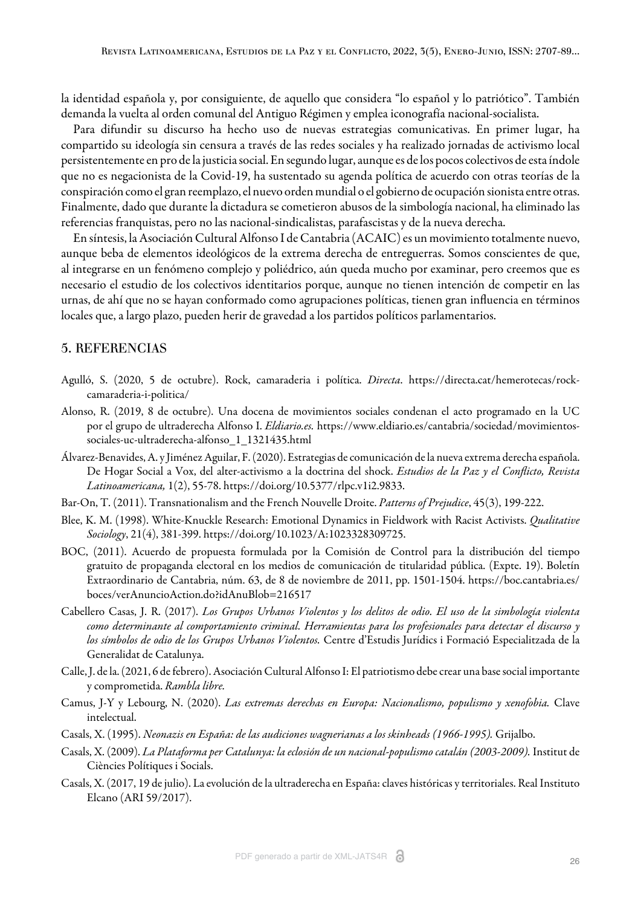la identidad española y, por consiguiente, de aquello que considera "lo español y lo patriótico". También demanda la vuelta al orden comunal del Antiguo Régimen y emplea iconografía nacional-socialista.

Para difundir su discurso ha hecho uso de nuevas estrategias comunicativas. En primer lugar, ha compartido su ideología sin censura a través de las redes sociales y ha realizado jornadas de activismo local persistentemente en pro de la justicia social. En segundo lugar, aunque es de los pocos colectivos de esta índole que no es negacionista de la Covid-19, ha sustentado su agenda política de acuerdo con otras teorías de la conspiración como el gran reemplazo, el nuevo orden mundial o el gobierno de ocupación sionista entre otras. Finalmente, dado que durante la dictadura se cometieron abusos de la simbología nacional, ha eliminado las referencias franquistas, pero no las nacional-sindicalistas, parafascistas y de la nueva derecha.

En síntesis, la Asociación Cultural Alfonso I de Cantabria (ACAIC) es un movimiento totalmente nuevo, aunque beba de elementos ideológicos de la extrema derecha de entreguerras. Somos conscientes de que, al integrarse en un fenómeno complejo y poliédrico, aún queda mucho por examinar, pero creemos que es necesario el estudio de los colectivos identitarios porque, aunque no tienen intención de competir en las urnas, de ahí que no se hayan conformado como agrupaciones políticas, tienen gran influencia en términos locales que, a largo plazo, pueden herir de gravedad a los partidos políticos parlamentarios.

## 5. REFERENCIAS

- <span id="page-13-10"></span>Agulló, S. (2020, 5 de octubre). Rock, camaraderia i política. *Directa*. https://directa.cat/hemerotecas/rockcamaraderia-i-politica/
- <span id="page-13-7"></span>Alonso, R. (2019, 8 de octubre). Una docena de movimientos sociales condenan el acto programado en la UC por el grupo de ultraderecha Alfonso I. *Eldiario.es.* https://www.eldiario.es/cantabria/sociedad/movimientossociales-uc-ultraderecha-alfonso\_1\_1321435.html
- <span id="page-13-1"></span>Álvarez-Benavides, A. y Jiménez Aguilar, F. (2020). Estrategias de comunicación de la nueva extrema derecha española. De Hogar Social a Vox, del alter-activismo a la doctrina del shock. *Estudios de la Paz y el Conflicto, Revista Latinoamericana,* 1(2), 55-78. https://doi.org/10.5377/rlpc.v1i2.9833.
- <span id="page-13-5"></span>Bar-On, T. (2011). Transnationalism and the French Nouvelle Droite. *Patterns of Prejudice*, 45(3), 199-222.
- <span id="page-13-8"></span>Blee, K. M. (1998). White-Knuckle Research: Emotional Dynamics in Fieldwork with Racist Activists. *Qualitative Sociology*, 21(4), 381-399. https://doi.org/10.1023/A:1023328309725.
- <span id="page-13-3"></span>BOC, (2011). Acuerdo de propuesta formulada por la Comisión de Control para la distribución del tiempo gratuito de propaganda electoral en los medios de comunicación de titularidad pública. (Expte. 19). Boletín Extraordinario de Cantabria, núm. 63, de 8 de noviembre de 2011, pp. 1501-1504. https://boc.cantabria.es/ boces/verAnuncioAction.do?idAnuBlob=216517
- <span id="page-13-11"></span>Cabellero Casas, J. R. (2017). *Los Grupos Urbanos Violentos y los delitos de odio. El uso de la simbología violenta como determinante al comportamiento criminal. Herramientas para los profesionales para detectar el discurso y los símbolos de odio de los Grupos Urbanos Violentos.* Centre d'Estudis Jurídics i Formació Especialitzada de la Generalidat de Catalunya.
- <span id="page-13-4"></span>Calle, J. de la. (2021, 6 de febrero). Asociación Cultural Alfonso I: El patriotismo debe crear una base social importante y comprometida. *Rambla libre.*
- <span id="page-13-9"></span>Camus, J-Y y Lebourg, N. (2020). *Las extremas derechas en Europa: Nacionalismo, populismo y xenofobia.* Clave intelectual.
- <span id="page-13-6"></span>Casals, X. (1995). *Neonazis en España: de las audiciones wagnerianas a los skinheads (1966-1995).* Grijalbo.
- <span id="page-13-2"></span>Casals, X. (2009). *La Plataforma per Catalunya: la eclosión de un nacional-populismo catalán (2003-2009).* Institut de Ciències Polítiques i Socials.
- <span id="page-13-0"></span>Casals, X. (2017, 19 de julio). La evolución de la ultraderecha en España: claves históricas y territoriales. Real Instituto Elcano (ARI 59/2017).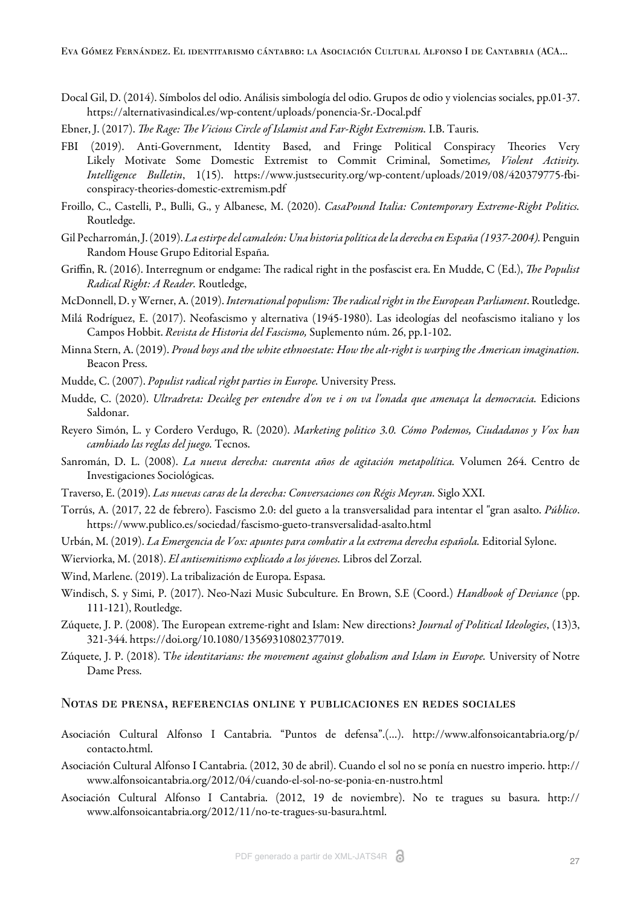Eva Gómez Fernández. El identitarismo cántabro: la Asociación Cultural Alfonso I de Cantabria (ACA...

- <span id="page-14-23"></span>Docal Gil, D. (2014). Símbolos del odio. Análisis simbología del odio. Grupos de odio y violencias sociales, pp.01-37. https://alternativasindical.es/wp-content/uploads/ponencia-Sr.-Docal.pdf
- <span id="page-14-14"></span>Ebner, J. (2017). *The Rage: The Vicious Circle of Islamist and Far-Right Extremism*. I.B. Tauris.
- <span id="page-14-8"></span>FBI (2019). Anti-Government, Identity Based, and Fringe Political Conspiracy Theories Very Likely Motivate Some Domestic Extremist to Commit Criminal, Sometim*es, Violent Activity. Intelligence Bulletin*, 1(15). https://www.justsecurity.org/wp-content/uploads/2019/08/420379775-fbiconspiracy-theories-domestic-extremism.pdf
- <span id="page-14-13"></span>Froillo, C., Castelli, P., Bulli, G., y Albanese, M. (2020). *CasaPound Italia: Contemporary Extreme-Right Politics.* Routledge.
- <span id="page-14-0"></span>Gil Pecharromán, J. (2019). *La estirpe del camaleón: Una historia política de la derecha en España (1937-2004).* Penguin Random House Grupo Editorial España.
- <span id="page-14-16"></span>Griffin, R. (2016). Interregnum or endgame: The radical right in the posfascist era. En Mudde, C (Ed.), *The Populist Radical Right: A Reader.* Routledge,
- <span id="page-14-9"></span>McDonnell, D. y Werner, A. (2019). *International populism: The radical right in the European Parliament*. Routledge.
- <span id="page-14-22"></span>Milá Rodríguez, E. (2017). Neofascismo y alternativa (1945-1980). Las ideologías del neofascismo italiano y los Campos Hobbit. *Revista de Historia del Fascismo,* Suplemento núm. 26, pp.1-102.
- <span id="page-14-7"></span>Minna Stern, A. (2019). *Proud boys and the white ethnoestate: How the alt-right is warping the American imagination.* Beacon Press.
- <span id="page-14-4"></span>Mudde, C. (2007). *Populist radical right parties in Europe.* University Press.
- <span id="page-14-2"></span>Mudde, C. (2020). *Ultradreta: Decàleg per entendre d'on ve i on va l'onada que amenaça la democracia.* Edicions Saldonar.
- <span id="page-14-3"></span>Reyero Simón, L. y Cordero Verdugo, R. (2020). *Marketing politico 3.0. Cómo Podemos, Ciudadanos y Vox han cambiado las reglas del juego.* Tecnos.
- <span id="page-14-12"></span>Sanromán, D. L. (2008). *La nueva derecha: cuarenta años de agitación metapolítica.* Volumen 264. Centro de Investigaciones Sociológicas.
- <span id="page-14-10"></span>Traverso, E. (2019). *Las nuevas caras de la derecha: Conversaciones con Régis Meyran.* Siglo XXI.
- <span id="page-14-15"></span>Torrús, A. (2017, 22 de febrero). Fascismo 2.0: del gueto a la transversalidad para intentar el "gran asalto. *Público*. https://www.publico.es/sociedad/fascismo-gueto-transversalidad-asalto.html
- <span id="page-14-11"></span>Urbán, M. (2019). *La Emergencia de Vox: apuntes para combatir a la extrema derecha española.* Editorial Sylone.
- <span id="page-14-18"></span>Wierviorka, M. (2018). *El antisemitismo explicado a los jóvenes.* Libros del Zorzal.

<span id="page-14-1"></span>Wind, Marlene. (2019). La tribalización de Europa. Espasa.

- <span id="page-14-21"></span>Windisch, S. y Simi, P. (2017). Neo-Nazi Music Subculture. En Brown, S.E (Coord.) *Handbook of Deviance* (pp. 111-121), Routledge.
- <span id="page-14-20"></span>Zúquete, J. P. (2008). The European extreme-right and Islam: New directions? *Journal of Political Ideologies*, (13)3, 321-344. https://doi.org/10.1080/13569310802377019.
- <span id="page-14-6"></span>Zúquete, J. P. (2018). T*he identitarians: the movement against globalism and Islam in Europe.* University of Notre Dame Press.

#### Notas de prensa, referencias online y publicaciones en redes sociales

- <span id="page-14-5"></span>Asociación Cultural Alfonso I Cantabria. "Puntos de defensa".(…). http://www.alfonsoicantabria.org/p/ contacto.html.
- <span id="page-14-17"></span>Asociación Cultural Alfonso I Cantabria. (2012, 30 de abril). Cuando el sol no se ponía en nuestro imperio. http:// www.alfonsoicantabria.org/2012/04/cuando-el-sol-no-se-ponia-en-nustro.html
- <span id="page-14-19"></span>Asociación Cultural Alfonso I Cantabria. (2012, 19 de noviembre). No te tragues su basura. http:// www.alfonsoicantabria.org/2012/11/no-te-tragues-su-basura.html.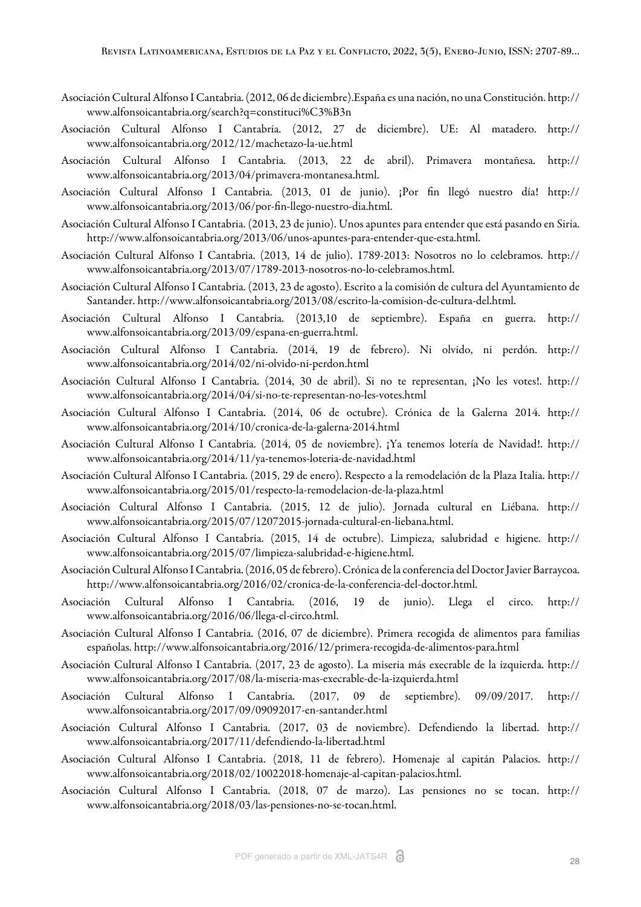- <span id="page-15-9"></span>Asociación Cultural Alfonso I Cantabria. (2012, 06 de diciembre).España es una nación, no una Constitución. http:// www.alfonsoicantabria.org/search?q=constituci%C3%B3n
- <span id="page-15-4"></span>Asociación Cultural Alfonso I Cantabria. (2012, 27 de diciembre). UE: Al matadero. http:// www.alfonsoicantabria.org/2012/12/machetazo-la-ue.html
- <span id="page-15-15"></span>Asociación Cultural Alfonso I Cantabria. (2013, 22 de abril). Primavera montañesa. http:// www.alfonsoicantabria.org/2013/04/primavera-montanesa.html.
- <span id="page-15-19"></span>Asociación Cultural Alfonso I Cantabria. (2013, 01 de junio). ¡Por fin llegó nuestro día! http:// www.alfonsoicantabria.org/2013/06/por-fin-llego-nuestro-dia.html.
- <span id="page-15-2"></span>Asociación Cultural Alfonso I Cantabria. (2013, 23 de junio). Unos apuntes para entender que está pasando en Siria. http://www.alfonsoicantabria.org/2013/06/unos-apuntes-para-entender-que-esta.html.
- <span id="page-15-8"></span>Asociación Cultural Alfonso I Cantabria. (2013, 14 de julio). 1789-2013: Nosotros no lo celebramos. http:// www.alfonsoicantabria.org/2013/07/1789-2013-nosotros-no-lo-celebramos.html.
- <span id="page-15-10"></span>Asociación Cultural Alfonso I Cantabria. (2013, 23 de agosto). Escrito a la comisión de cultura del Ayuntamiento de Santander. http://www.alfonsoicantabria.org/2013/08/escrito-la-comision-de-cultura-del.html.
- <span id="page-15-7"></span>Asociación Cultural Alfonso I Cantabria. (2013,10 de septiembre). España en guerra. http:// www.alfonsoicantabria.org/2013/09/espana-en-guerra.html.
- <span id="page-15-14"></span>Asociación Cultural Alfonso I Cantabria. (2014, 19 de febrero). Ni olvido, ni perdón. http:// www.alfonsoicantabria.org/2014/02/ni-olvido-ni-perdon.html
- <span id="page-15-12"></span>Asociación Cultural Alfonso I Cantabria. (2014, 30 de abril). Si no te representan, ¡No les votes!. http:// www.alfonsoicantabria.org/2014/04/si-no-te-representan-no-les-votes.html
- <span id="page-15-16"></span>Asociación Cultural Alfonso I Cantabria. (2014, 06 de octubre). Crónica de la Galerna 2014. http:// www.alfonsoicantabria.org/2014/10/cronica-de-la-galerna-2014.html
- <span id="page-15-20"></span>Asociación Cultural Alfonso I Cantabria. (2014, 05 de noviembre). ¡Ya tenemos lotería de Navidad!. http:// www.alfonsoicantabria.org/2014/11/ya-tenemos-loteria-de-navidad.html
- <span id="page-15-0"></span>Asociación Cultural Alfonso I Cantabria. (2015, 29 de enero). Respecto a la remodelación de la Plaza Italia. http:// www.alfonsoicantabria.org/2015/01/respecto-la-remodelacion-de-la-plaza.html
- <span id="page-15-5"></span>Asociación Cultural Alfonso I Cantabria. (2015, 12 de julio). Jornada cultural en Liébana. http:// www.alfonsoicantabria.org/2015/07/12072015-jornada-cultural-en-liebana.html.
- <span id="page-15-11"></span>Asociación Cultural Alfonso I Cantabria. (2015, 14 de octubre). Limpieza, salubridad e higiene. http:// www.alfonsoicantabria.org/2015/07/limpieza-salubridad-e-higiene.html.
- <span id="page-15-17"></span>Asociación Cultural Alfonso I Cantabria. (2016, 05 de febrero). Crónica de la conferencia del Doctor Javier Barraycoa. http://www.alfonsoicantabria.org/2016/02/cronica-de-la-conferencia-del-doctor.html.
- <span id="page-15-13"></span>Asociación Cultural Alfonso I Cantabria. (2016, 19 de junio). Llega el circo. http:// www.alfonsoicantabria.org/2016/06/llega-el-circo.html.
- <span id="page-15-22"></span>Asociación Cultural Alfonso I Cantabria. (2016, 07 de diciembre). Primera recogida de alimentos para familias españolas. http://www.alfonsoicantabria.org/2016/12/primera-recogida-de-alimentos-para.html
- <span id="page-15-1"></span>Asociación Cultural Alfonso I Cantabria. (2017, 23 de agosto). La miseria más execrable de la izquierda. http:// www.alfonsoicantabria.org/2017/08/la-miseria-mas-execrable-de-la-izquierda.html
- <span id="page-15-18"></span>Asociación Cultural Alfonso I Cantabria. (2017, 09 de septiembre). 09/09/2017. http:// www.alfonsoicantabria.org/2017/09/09092017-en-santander.html
- <span id="page-15-3"></span>Asociación Cultural Alfonso I Cantabria. (2017, 03 de noviembre). Defendiendo la libertad. http:// www.alfonsoicantabria.org/2017/11/defendiendo-la-libertad.html
- <span id="page-15-6"></span>Asociación Cultural Alfonso I Cantabria. (2018, 11 de febrero). Homenaje al capitán Palacios. http:// www.alfonsoicantabria.org/2018/02/10022018-homenaje-al-capitan-palacios.html.
- <span id="page-15-21"></span>Asociación Cultural Alfonso I Cantabria. (2018, 07 de marzo). Las pensiones no se tocan. http:// www.alfonsoicantabria.org/2018/03/las-pensiones-no-se-tocan.html.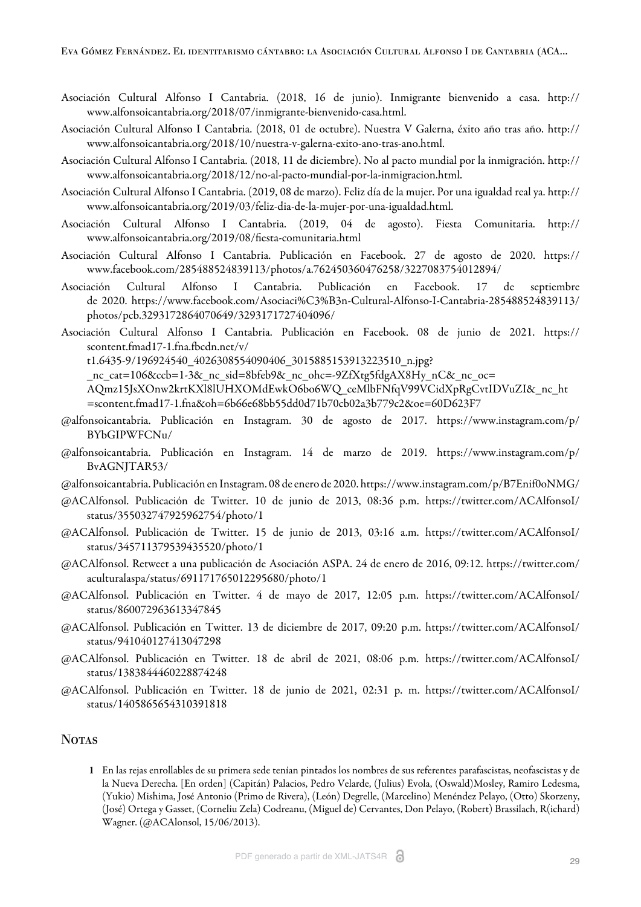- <span id="page-16-7"></span>Asociación Cultural Alfonso I Cantabria. (2018, 16 de junio). Inmigrante bienvenido a casa. http:// www.alfonsoicantabria.org/2018/07/inmigrante-bienvenido-casa.html.
- <span id="page-16-1"></span>Asociación Cultural Alfonso I Cantabria. (2018, 01 de octubre). Nuestra V Galerna, éxito año tras año. http:// www.alfonsoicantabria.org/2018/10/nuestra-v-galerna-exito-ano-tras-ano.html.
- <span id="page-16-6"></span>Asociación Cultural Alfonso I Cantabria. (2018, 11 de diciembre). No al pacto mundial por la inmigración. http:// www.alfonsoicantabria.org/2018/12/no-al-pacto-mundial-por-la-inmigracion.html.
- <span id="page-16-0"></span>Asociación Cultural Alfonso I Cantabria. (2019, 08 de marzo). Feliz día de la mujer. Por una igualdad real ya. http:// www.alfonsoicantabria.org/2019/03/feliz-dia-de-la-mujer-por-una-igualdad.html.
- <span id="page-16-14"></span>Asociación Cultural Alfonso I Cantabria. (2019, 04 de agosto). Fiesta Comunitaria. http:// www.alfonsoicantabria.org/2019/08/fiesta-comunitaria.html
- <span id="page-16-5"></span>Asociación Cultural Alfonso I Cantabria. Publicación en Facebook. 27 de agosto de 2020. https:// www.facebook.com/285488524839113/photos/a.762450360476258/3227083754012894/
- <span id="page-16-11"></span>Asociación Cultural Alfonso I Cantabria. Publicación en Facebook. 17 de septiembre de 2020. https://www.facebook.com/Asociaci%C3%B3n-Cultural-Alfonso-I-Cantabria-285488524839113/ photos/pcb.3293172864070649/3293171727404096/
- <span id="page-16-12"></span>Asociación Cultural Alfonso I Cantabria. Publicación en Facebook. 08 de junio de 2021. https:// scontent.fmad17-1.fna.fbcdn.net/v/

t1.6435-9/196924540\_4026308554090406\_3015885153913223510\_n.jpg?

\_nc\_cat=106&ccb=1-3&\_nc\_sid=8bfeb9&\_nc\_ohc=-9ZfXtg5fdgAX8Hy\_nC&\_nc\_oc=

AQmz15JsXOnw2krtKXl8lUHXOMdEwkO6bo6WQ\_ceMlbFNfqV99VCidXpRgCvtIDVuZI&\_nc\_ht =scontent.fmad17-1.fna&oh=6b66e68bb55dd0d71b70cb02a3b779c2&oe=60D623F7

- <span id="page-16-4"></span>@alfonsoicantabria. Publicación en Instagram. 30 de agosto de 2017. https://www.instagram.com/p/ BYbGIPWFCNu/
- <span id="page-16-15"></span>@alfonsoicantabria. Publicación en Instagram. 14 de marzo de 2019. https://www.instagram.com/p/ BvAGNJTAR53/
- <span id="page-16-16"></span>@alfonsoicantabria. Publicación en Instagram. 08 de enero de 2020. https://www.instagram.com/p/B7Enif0oNMG/
- <span id="page-16-9"></span>@ACAlfonsol. Publicación de Twitter. 10 de junio de 2013, 08:36 p.m. https://twitter.com/ACAlfonsoI/ status/355032747925962754/photo/1
- <span id="page-16-18"></span>@ACAlfonsol. Publicación de Twitter. 15 de junio de 2013, 03:16 a.m. https://twitter.com/ACAlfonsoI/ status/345711379539435520/photo/1
- <span id="page-16-17"></span>@ACAlfonsol. Retweet a una publicación de Asociación ASPA. 24 de enero de 2016, 09:12. https://twitter.com/ aculturalaspa/status/691171765012295680/photo/1
- <span id="page-16-13"></span>@ACAlfonsol. Publicación en Twitter. 4 de mayo de 2017, 12:05 p.m. https://twitter.com/ACAlfonsoI/ status/860072963613347845
- <span id="page-16-10"></span>@ACAlfonsol. Publicación en Twitter. 13 de diciembre de 2017, 09:20 p.m. https://twitter.com/ACAlfonsoI/ status/941040127413047298
- <span id="page-16-8"></span>@ACAlfonsol. Publicación en Twitter. 18 de abril de 2021, 08:06 p.m. https://twitter.com/ACAlfonsoI/ status/1383844460228874248
- <span id="page-16-2"></span>@ACAlfonsol. Publicación en Twitter. 18 de junio de 2021, 02:31 p. m. https://twitter.com/ACAlfonsoI/ status/1405865654310391818

### **NOTAS**

<span id="page-16-3"></span>1 En las rejas enrollables de su primera sede tenían pintados los nombres de sus referentes parafascistas, neofascistas y de la Nueva Derecha. [En orden] (Capitán) Palacios, Pedro Velarde, (Julius) Evola, (Oswald)Mosley, Ramiro Ledesma, (Yukio) Mishima, José Antonio (Primo de Rivera), (León) Degrelle, (Marcelino) Menéndez Pelayo, (Otto) Skorzeny, (José) Ortega y Gasset, (Corneliu Zela) Codreanu, (Miguel de) Cervantes, Don Pelayo, (Robert) Brassilach, R(ichard) Wagner. ([@ACAlonsol, 15/06/2013](#page-16-18)).